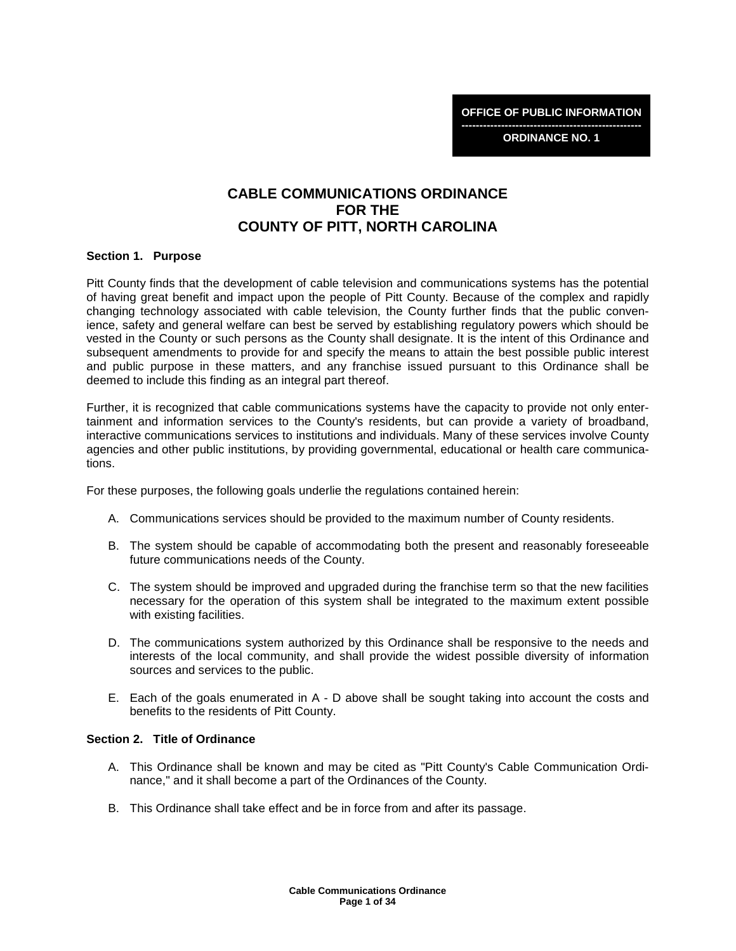**-------------------------------------------------- ORDINANCE NO. 1** 

# **CABLE COMMUNICATIONS ORDINANCE FOR THE COUNTY OF PITT, NORTH CAROLINA**

#### **Section 1. Purpose**

Pitt County finds that the development of cable television and communications systems has the potential of having great benefit and impact upon the people of Pitt County. Because of the complex and rapidly changing technology associated with cable television, the County further finds that the public convenience, safety and general welfare can best be served by establishing regulatory powers which should be vested in the County or such persons as the County shall designate. It is the intent of this Ordinance and subsequent amendments to provide for and specify the means to attain the best possible public interest and public purpose in these matters, and any franchise issued pursuant to this Ordinance shall be deemed to include this finding as an integral part thereof.

Further, it is recognized that cable communications systems have the capacity to provide not only entertainment and information services to the County's residents, but can provide a variety of broadband, interactive communications services to institutions and individuals. Many of these services involve County agencies and other public institutions, by providing governmental, educational or health care communications.

For these purposes, the following goals underlie the regulations contained herein:

- A. Communications services should be provided to the maximum number of County residents.
- B. The system should be capable of accommodating both the present and reasonably foreseeable future communications needs of the County.
- C. The system should be improved and upgraded during the franchise term so that the new facilities necessary for the operation of this system shall be integrated to the maximum extent possible with existing facilities.
- D. The communications system authorized by this Ordinance shall be responsive to the needs and interests of the local community, and shall provide the widest possible diversity of information sources and services to the public.
- E. Each of the goals enumerated in A D above shall be sought taking into account the costs and benefits to the residents of Pitt County.

### **Section 2. Title of Ordinance**

- A. This Ordinance shall be known and may be cited as "Pitt County's Cable Communication Ordinance," and it shall become a part of the Ordinances of the County.
- B. This Ordinance shall take effect and be in force from and after its passage.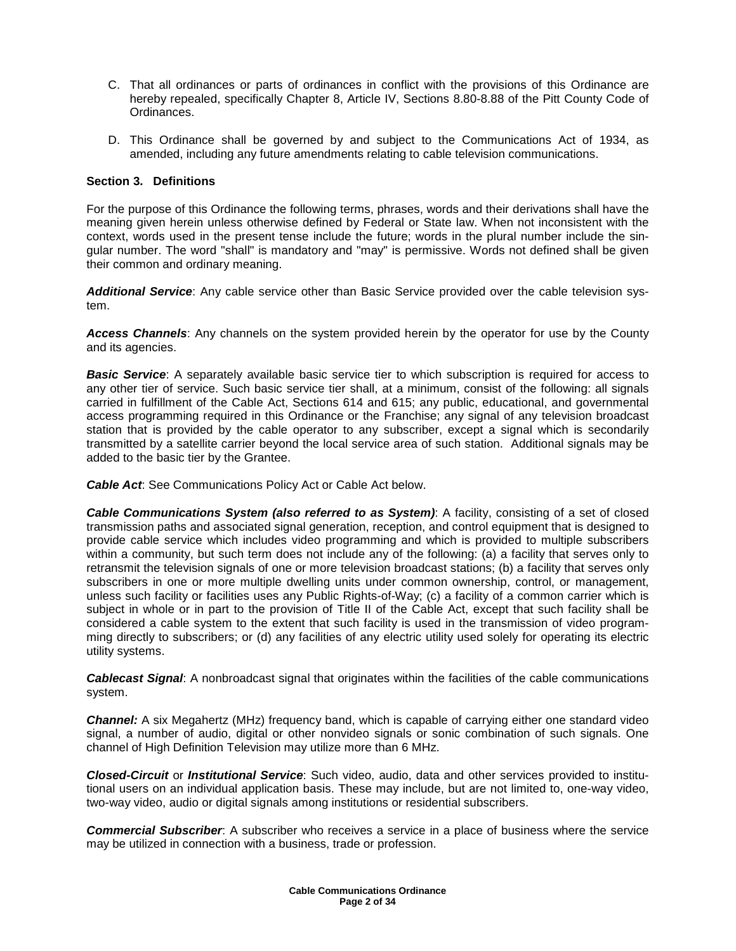- C. That all ordinances or parts of ordinances in conflict with the provisions of this Ordinance are hereby repealed, specifically Chapter 8, Article IV, Sections 8.80-8.88 of the Pitt County Code of Ordinances.
- D. This Ordinance shall be governed by and subject to the Communications Act of 1934, as amended, including any future amendments relating to cable television communications.

### **Section 3. Definitions**

For the purpose of this Ordinance the following terms, phrases, words and their derivations shall have the meaning given herein unless otherwise defined by Federal or State law. When not inconsistent with the context, words used in the present tense include the future; words in the plural number include the singular number. The word "shall" is mandatory and "may" is permissive. Words not defined shall be given their common and ordinary meaning.

**Additional Service**: Any cable service other than Basic Service provided over the cable television system.

**Access Channels**: Any channels on the system provided herein by the operator for use by the County and its agencies.

**Basic Service**: A separately available basic service tier to which subscription is required for access to any other tier of service. Such basic service tier shall, at a minimum, consist of the following: all signals carried in fulfillment of the Cable Act, Sections 614 and 615; any public, educational, and governmental access programming required in this Ordinance or the Franchise; any signal of any television broadcast station that is provided by the cable operator to any subscriber, except a signal which is secondarily transmitted by a satellite carrier beyond the local service area of such station. Additional signals may be added to the basic tier by the Grantee.

**Cable Act**: See Communications Policy Act or Cable Act below.

**Cable Communications System (also referred to as System)**: A facility, consisting of a set of closed transmission paths and associated signal generation, reception, and control equipment that is designed to provide cable service which includes video programming and which is provided to multiple subscribers within a community, but such term does not include any of the following: (a) a facility that serves only to retransmit the television signals of one or more television broadcast stations; (b) a facility that serves only subscribers in one or more multiple dwelling units under common ownership, control, or management, unless such facility or facilities uses any Public Rights-of-Way; (c) a facility of a common carrier which is subject in whole or in part to the provision of Title II of the Cable Act, except that such facility shall be considered a cable system to the extent that such facility is used in the transmission of video programming directly to subscribers; or (d) any facilities of any electric utility used solely for operating its electric utility systems.

**Cablecast Signal**: A nonbroadcast signal that originates within the facilities of the cable communications system.

**Channel:** A six Megahertz (MHz) frequency band, which is capable of carrying either one standard video signal, a number of audio, digital or other nonvideo signals or sonic combination of such signals. One channel of High Definition Television may utilize more than 6 MHz.

**Closed-Circuit** or **Institutional Service**: Such video, audio, data and other services provided to institutional users on an individual application basis. These may include, but are not limited to, one-way video, two-way video, audio or digital signals among institutions or residential subscribers.

**Commercial Subscriber**: A subscriber who receives a service in a place of business where the service may be utilized in connection with a business, trade or profession.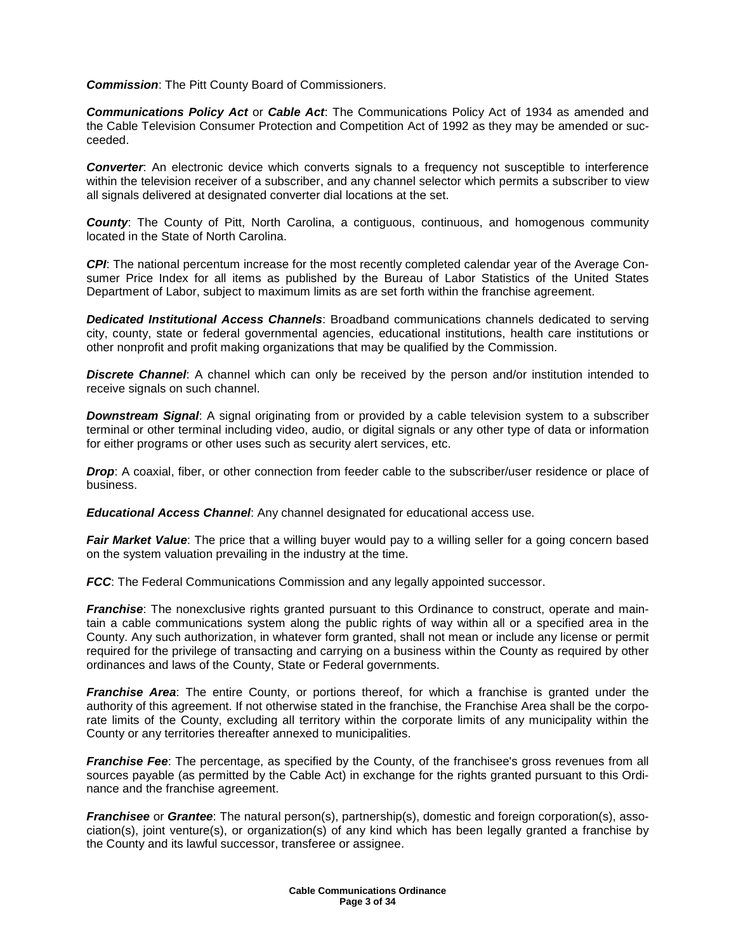**Commission**: The Pitt County Board of Commissioners.

**Communications Policy Act** or **Cable Act**: The Communications Policy Act of 1934 as amended and the Cable Television Consumer Protection and Competition Act of 1992 as they may be amended or succeeded.

**Converter**: An electronic device which converts signals to a frequency not susceptible to interference within the television receiver of a subscriber, and any channel selector which permits a subscriber to view all signals delivered at designated converter dial locations at the set.

**County**: The County of Pitt, North Carolina, a contiguous, continuous, and homogenous community located in the State of North Carolina.

**CPI**: The national percentum increase for the most recently completed calendar year of the Average Consumer Price Index for all items as published by the Bureau of Labor Statistics of the United States Department of Labor, subject to maximum limits as are set forth within the franchise agreement.

**Dedicated Institutional Access Channels**: Broadband communications channels dedicated to serving city, county, state or federal governmental agencies, educational institutions, health care institutions or other nonprofit and profit making organizations that may be qualified by the Commission.

**Discrete Channel**: A channel which can only be received by the person and/or institution intended to receive signals on such channel.

**Downstream Signal**: A signal originating from or provided by a cable television system to a subscriber terminal or other terminal including video, audio, or digital signals or any other type of data or information for either programs or other uses such as security alert services, etc.

**Drop**: A coaxial, fiber, or other connection from feeder cable to the subscriber/user residence or place of business.

**Educational Access Channel**: Any channel designated for educational access use.

**Fair Market Value**: The price that a willing buyer would pay to a willing seller for a going concern based on the system valuation prevailing in the industry at the time.

**FCC:** The Federal Communications Commission and any legally appointed successor.

**Franchise**: The nonexclusive rights granted pursuant to this Ordinance to construct, operate and maintain a cable communications system along the public rights of way within all or a specified area in the County. Any such authorization, in whatever form granted, shall not mean or include any license or permit required for the privilege of transacting and carrying on a business within the County as required by other ordinances and laws of the County, State or Federal governments.

**Franchise Area**: The entire County, or portions thereof, for which a franchise is granted under the authority of this agreement. If not otherwise stated in the franchise, the Franchise Area shall be the corporate limits of the County, excluding all territory within the corporate limits of any municipality within the County or any territories thereafter annexed to municipalities.

**Franchise Fee**: The percentage, as specified by the County, of the franchisee's gross revenues from all sources payable (as permitted by the Cable Act) in exchange for the rights granted pursuant to this Ordinance and the franchise agreement.

**Franchisee** or **Grantee**: The natural person(s), partnership(s), domestic and foreign corporation(s), association(s), joint venture(s), or organization(s) of any kind which has been legally granted a franchise by the County and its lawful successor, transferee or assignee.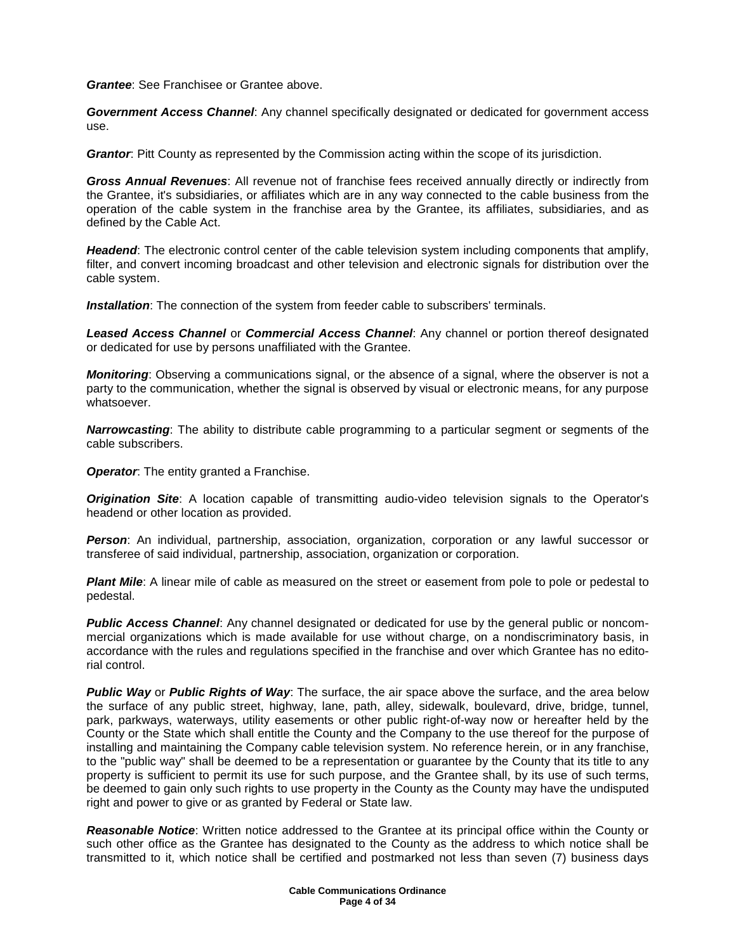**Grantee**: See Franchisee or Grantee above.

**Government Access Channel**: Any channel specifically designated or dedicated for government access use.

**Grantor**: Pitt County as represented by the Commission acting within the scope of its jurisdiction.

**Gross Annual Revenues**: All revenue not of franchise fees received annually directly or indirectly from the Grantee, it's subsidiaries, or affiliates which are in any way connected to the cable business from the operation of the cable system in the franchise area by the Grantee, its affiliates, subsidiaries, and as defined by the Cable Act.

**Headend**: The electronic control center of the cable television system including components that amplify, filter, and convert incoming broadcast and other television and electronic signals for distribution over the cable system.

**Installation**: The connection of the system from feeder cable to subscribers' terminals.

**Leased Access Channel** or **Commercial Access Channel**: Any channel or portion thereof designated or dedicated for use by persons unaffiliated with the Grantee.

**Monitoring**: Observing a communications signal, or the absence of a signal, where the observer is not a party to the communication, whether the signal is observed by visual or electronic means, for any purpose whatsoever.

**Narrowcasting**: The ability to distribute cable programming to a particular segment or segments of the cable subscribers.

**Operator**: The entity granted a Franchise.

**Origination Site**: A location capable of transmitting audio-video television signals to the Operator's headend or other location as provided.

**Person**: An individual, partnership, association, organization, corporation or any lawful successor or transferee of said individual, partnership, association, organization or corporation.

**Plant Mile**: A linear mile of cable as measured on the street or easement from pole to pole or pedestal to pedestal.

**Public Access Channel**: Any channel designated or dedicated for use by the general public or noncommercial organizations which is made available for use without charge, on a nondiscriminatory basis, in accordance with the rules and regulations specified in the franchise and over which Grantee has no editorial control.

**Public Way** or **Public Rights of Way**: The surface, the air space above the surface, and the area below the surface of any public street, highway, lane, path, alley, sidewalk, boulevard, drive, bridge, tunnel, park, parkways, waterways, utility easements or other public right-of-way now or hereafter held by the County or the State which shall entitle the County and the Company to the use thereof for the purpose of installing and maintaining the Company cable television system. No reference herein, or in any franchise, to the "public way" shall be deemed to be a representation or guarantee by the County that its title to any property is sufficient to permit its use for such purpose, and the Grantee shall, by its use of such terms, be deemed to gain only such rights to use property in the County as the County may have the undisputed right and power to give or as granted by Federal or State law.

**Reasonable Notice**: Written notice addressed to the Grantee at its principal office within the County or such other office as the Grantee has designated to the County as the address to which notice shall be transmitted to it, which notice shall be certified and postmarked not less than seven (7) business days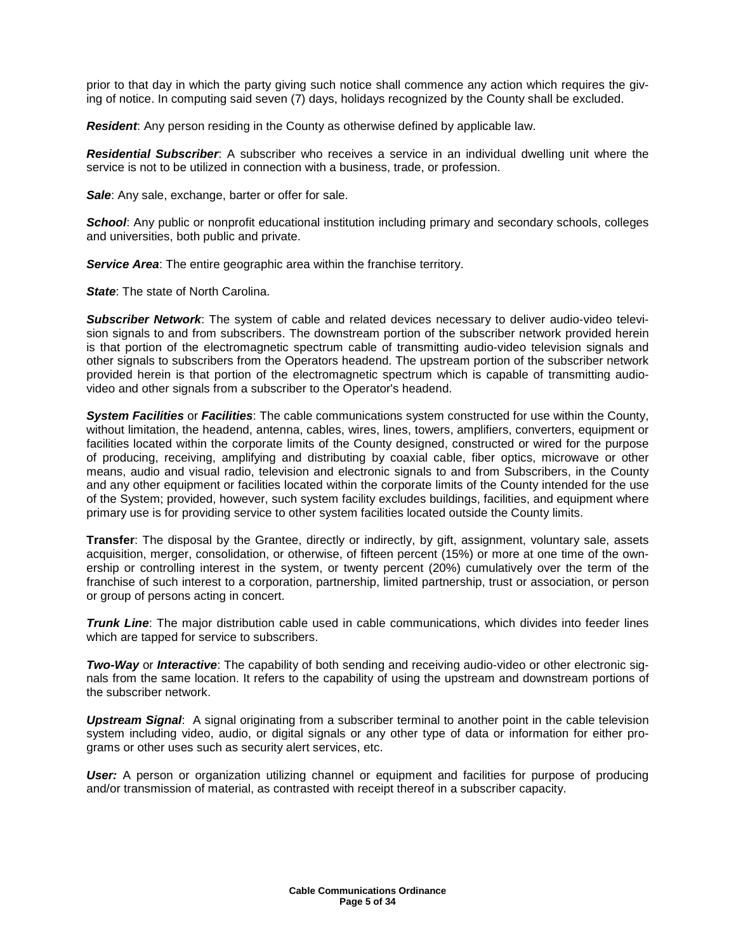prior to that day in which the party giving such notice shall commence any action which requires the giving of notice. In computing said seven (7) days, holidays recognized by the County shall be excluded.

**Resident**: Any person residing in the County as otherwise defined by applicable law.

**Residential Subscriber**: A subscriber who receives a service in an individual dwelling unit where the service is not to be utilized in connection with a business, trade, or profession.

**Sale**: Any sale, exchange, barter or offer for sale.

**School:** Any public or nonprofit educational institution including primary and secondary schools, colleges and universities, both public and private.

**Service Area:** The entire geographic area within the franchise territory.

**State:** The state of North Carolina.

**Subscriber Network**: The system of cable and related devices necessary to deliver audio-video television signals to and from subscribers. The downstream portion of the subscriber network provided herein is that portion of the electromagnetic spectrum cable of transmitting audio-video television signals and other signals to subscribers from the Operators headend. The upstream portion of the subscriber network provided herein is that portion of the electromagnetic spectrum which is capable of transmitting audiovideo and other signals from a subscriber to the Operator's headend.

**System Facilities** or **Facilities**: The cable communications system constructed for use within the County, without limitation, the headend, antenna, cables, wires, lines, towers, amplifiers, converters, equipment or facilities located within the corporate limits of the County designed, constructed or wired for the purpose of producing, receiving, amplifying and distributing by coaxial cable, fiber optics, microwave or other means, audio and visual radio, television and electronic signals to and from Subscribers, in the County and any other equipment or facilities located within the corporate limits of the County intended for the use of the System; provided, however, such system facility excludes buildings, facilities, and equipment where primary use is for providing service to other system facilities located outside the County limits.

**Transfer**: The disposal by the Grantee, directly or indirectly, by gift, assignment, voluntary sale, assets acquisition, merger, consolidation, or otherwise, of fifteen percent (15%) or more at one time of the ownership or controlling interest in the system, or twenty percent (20%) cumulatively over the term of the franchise of such interest to a corporation, partnership, limited partnership, trust or association, or person or group of persons acting in concert.

**Trunk Line**: The major distribution cable used in cable communications, which divides into feeder lines which are tapped for service to subscribers.

**Two-Way** or **Interactive**: The capability of both sending and receiving audio-video or other electronic signals from the same location. It refers to the capability of using the upstream and downstream portions of the subscriber network.

**Upstream Signal**: A signal originating from a subscriber terminal to another point in the cable television system including video, audio, or digital signals or any other type of data or information for either programs or other uses such as security alert services, etc.

**User:** A person or organization utilizing channel or equipment and facilities for purpose of producing and/or transmission of material, as contrasted with receipt thereof in a subscriber capacity.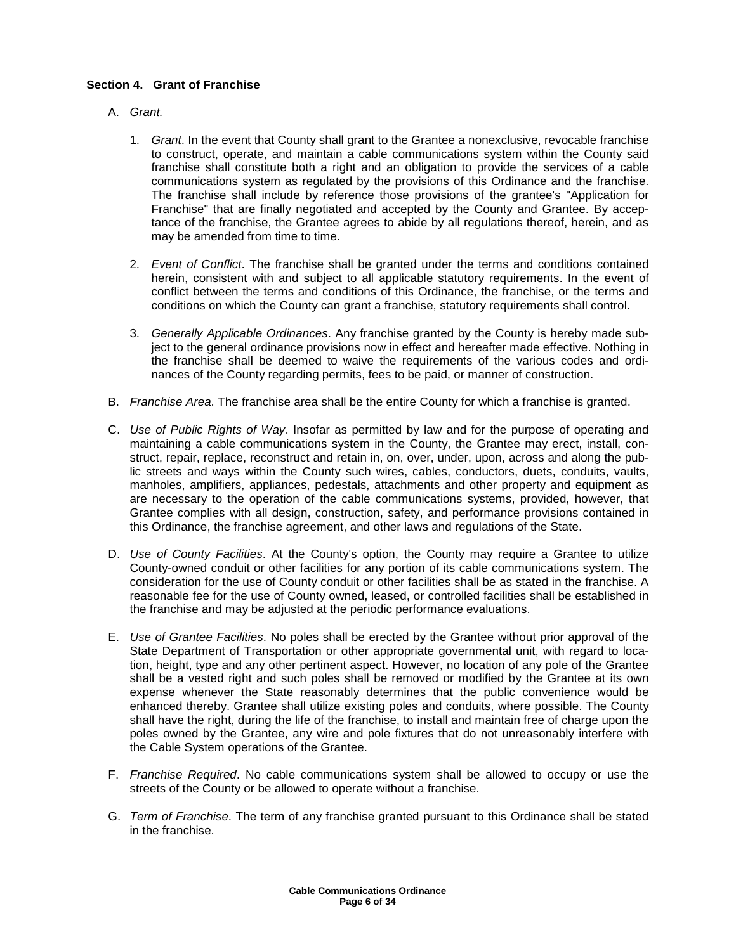### **Section 4. Grant of Franchise**

- A. Grant.
	- 1. Grant. In the event that County shall grant to the Grantee a nonexclusive, revocable franchise to construct, operate, and maintain a cable communications system within the County said franchise shall constitute both a right and an obligation to provide the services of a cable communications system as regulated by the provisions of this Ordinance and the franchise. The franchise shall include by reference those provisions of the grantee's "Application for Franchise" that are finally negotiated and accepted by the County and Grantee. By acceptance of the franchise, the Grantee agrees to abide by all regulations thereof, herein, and as may be amended from time to time.
	- 2. Event of Conflict. The franchise shall be granted under the terms and conditions contained herein, consistent with and subject to all applicable statutory requirements. In the event of conflict between the terms and conditions of this Ordinance, the franchise, or the terms and conditions on which the County can grant a franchise, statutory requirements shall control.
	- 3. Generally Applicable Ordinances. Any franchise granted by the County is hereby made subject to the general ordinance provisions now in effect and hereafter made effective. Nothing in the franchise shall be deemed to waive the requirements of the various codes and ordinances of the County regarding permits, fees to be paid, or manner of construction.
- B. Franchise Area. The franchise area shall be the entire County for which a franchise is granted.
- C. Use of Public Rights of Way. Insofar as permitted by law and for the purpose of operating and maintaining a cable communications system in the County, the Grantee may erect, install, construct, repair, replace, reconstruct and retain in, on, over, under, upon, across and along the public streets and ways within the County such wires, cables, conductors, duets, conduits, vaults, manholes, amplifiers, appliances, pedestals, attachments and other property and equipment as are necessary to the operation of the cable communications systems, provided, however, that Grantee complies with all design, construction, safety, and performance provisions contained in this Ordinance, the franchise agreement, and other laws and regulations of the State.
- D. Use of County Facilities. At the County's option, the County may require a Grantee to utilize County-owned conduit or other facilities for any portion of its cable communications system. The consideration for the use of County conduit or other facilities shall be as stated in the franchise. A reasonable fee for the use of County owned, leased, or controlled facilities shall be established in the franchise and may be adjusted at the periodic performance evaluations.
- E. Use of Grantee Facilities. No poles shall be erected by the Grantee without prior approval of the State Department of Transportation or other appropriate governmental unit, with regard to location, height, type and any other pertinent aspect. However, no location of any pole of the Grantee shall be a vested right and such poles shall be removed or modified by the Grantee at its own expense whenever the State reasonably determines that the public convenience would be enhanced thereby. Grantee shall utilize existing poles and conduits, where possible. The County shall have the right, during the life of the franchise, to install and maintain free of charge upon the poles owned by the Grantee, any wire and pole fixtures that do not unreasonably interfere with the Cable System operations of the Grantee.
- F. Franchise Required. No cable communications system shall be allowed to occupy or use the streets of the County or be allowed to operate without a franchise.
- G. Term of Franchise. The term of any franchise granted pursuant to this Ordinance shall be stated in the franchise.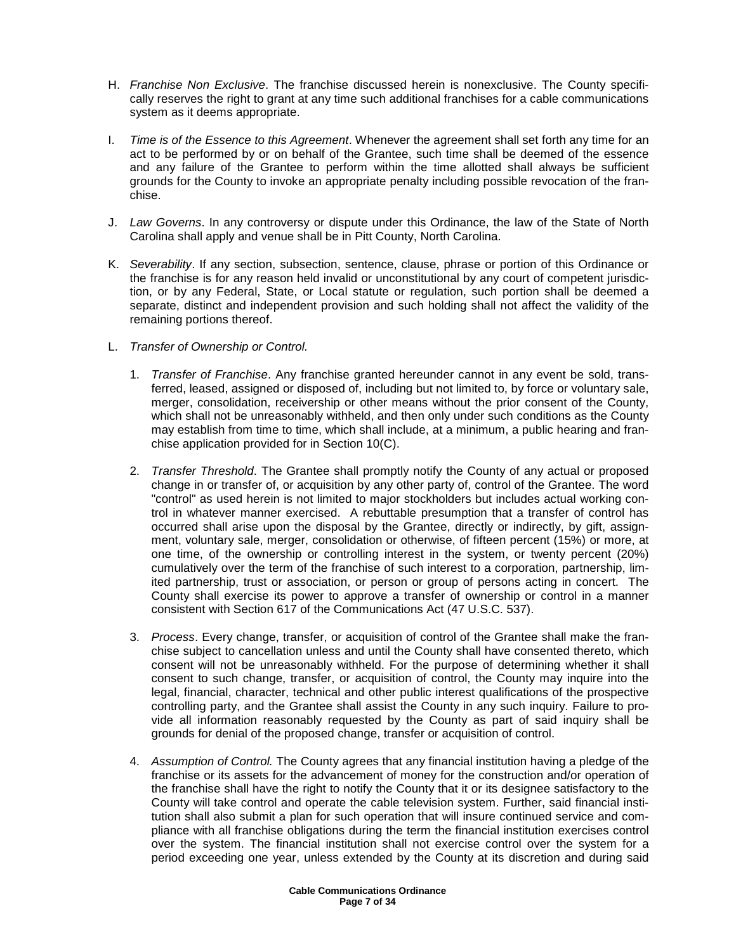- H. Franchise Non Exclusive. The franchise discussed herein is nonexclusive. The County specifically reserves the right to grant at any time such additional franchises for a cable communications system as it deems appropriate.
- I. Time is of the Essence to this Agreement. Whenever the agreement shall set forth any time for an act to be performed by or on behalf of the Grantee, such time shall be deemed of the essence and any failure of the Grantee to perform within the time allotted shall always be sufficient grounds for the County to invoke an appropriate penalty including possible revocation of the franchise.
- J. Law Governs. In any controversy or dispute under this Ordinance, the law of the State of North Carolina shall apply and venue shall be in Pitt County, North Carolina.
- K. Severability. If any section, subsection, sentence, clause, phrase or portion of this Ordinance or the franchise is for any reason held invalid or unconstitutional by any court of competent jurisdiction, or by any Federal, State, or Local statute or regulation, such portion shall be deemed a separate, distinct and independent provision and such holding shall not affect the validity of the remaining portions thereof.
- L. Transfer of Ownership or Control.
	- 1. Transfer of Franchise. Any franchise granted hereunder cannot in any event be sold, transferred, leased, assigned or disposed of, including but not limited to, by force or voluntary sale, merger, consolidation, receivership or other means without the prior consent of the County, which shall not be unreasonably withheld, and then only under such conditions as the County may establish from time to time, which shall include, at a minimum, a public hearing and franchise application provided for in Section 10(C).
	- 2. Transfer Threshold. The Grantee shall promptly notify the County of any actual or proposed change in or transfer of, or acquisition by any other party of, control of the Grantee. The word "control" as used herein is not limited to major stockholders but includes actual working control in whatever manner exercised. A rebuttable presumption that a transfer of control has occurred shall arise upon the disposal by the Grantee, directly or indirectly, by gift, assignment, voluntary sale, merger, consolidation or otherwise, of fifteen percent (15%) or more, at one time, of the ownership or controlling interest in the system, or twenty percent (20%) cumulatively over the term of the franchise of such interest to a corporation, partnership, limited partnership, trust or association, or person or group of persons acting in concert. The County shall exercise its power to approve a transfer of ownership or control in a manner consistent with Section 617 of the Communications Act (47 U.S.C. 537).
	- 3. Process. Every change, transfer, or acquisition of control of the Grantee shall make the franchise subject to cancellation unless and until the County shall have consented thereto, which consent will not be unreasonably withheld. For the purpose of determining whether it shall consent to such change, transfer, or acquisition of control, the County may inquire into the legal, financial, character, technical and other public interest qualifications of the prospective controlling party, and the Grantee shall assist the County in any such inquiry. Failure to provide all information reasonably requested by the County as part of said inquiry shall be grounds for denial of the proposed change, transfer or acquisition of control.
	- 4. Assumption of Control. The County agrees that any financial institution having a pledge of the franchise or its assets for the advancement of money for the construction and/or operation of the franchise shall have the right to notify the County that it or its designee satisfactory to the County will take control and operate the cable television system. Further, said financial institution shall also submit a plan for such operation that will insure continued service and compliance with all franchise obligations during the term the financial institution exercises control over the system. The financial institution shall not exercise control over the system for a period exceeding one year, unless extended by the County at its discretion and during said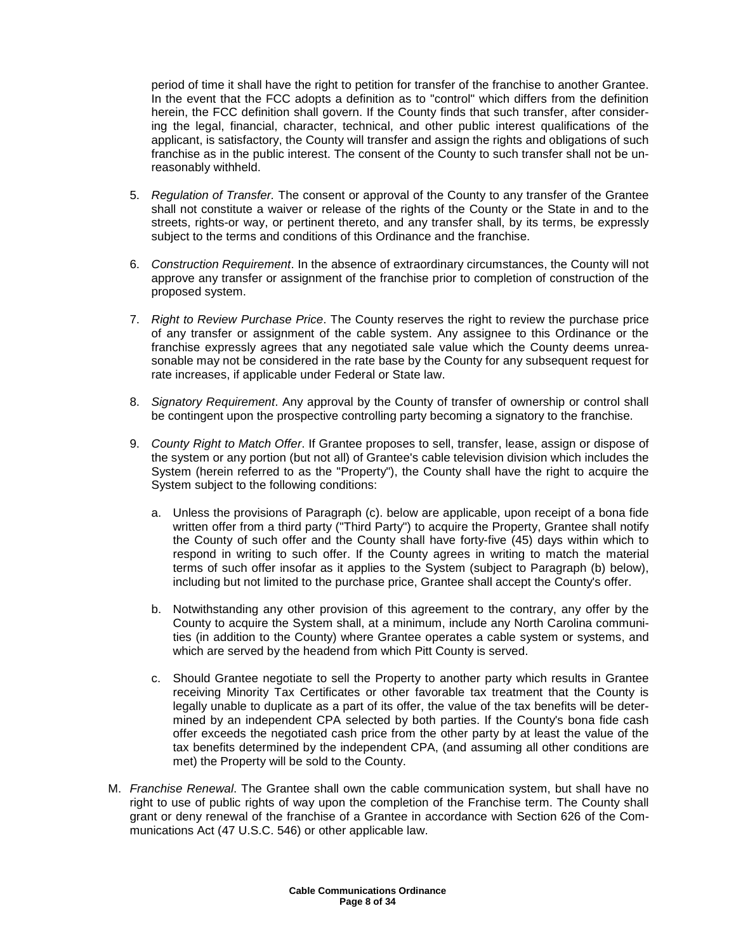period of time it shall have the right to petition for transfer of the franchise to another Grantee. In the event that the FCC adopts a definition as to "control" which differs from the definition herein, the FCC definition shall govern. If the County finds that such transfer, after considering the legal, financial, character, technical, and other public interest qualifications of the applicant, is satisfactory, the County will transfer and assign the rights and obligations of such franchise as in the public interest. The consent of the County to such transfer shall not be unreasonably withheld.

- 5. Regulation of Transfer. The consent or approval of the County to any transfer of the Grantee shall not constitute a waiver or release of the rights of the County or the State in and to the streets, rights-or way, or pertinent thereto, and any transfer shall, by its terms, be expressly subject to the terms and conditions of this Ordinance and the franchise.
- 6. Construction Requirement. In the absence of extraordinary circumstances, the County will not approve any transfer or assignment of the franchise prior to completion of construction of the proposed system.
- 7. Right to Review Purchase Price. The County reserves the right to review the purchase price of any transfer or assignment of the cable system. Any assignee to this Ordinance or the franchise expressly agrees that any negotiated sale value which the County deems unreasonable may not be considered in the rate base by the County for any subsequent request for rate increases, if applicable under Federal or State law.
- 8. Signatory Requirement. Any approval by the County of transfer of ownership or control shall be contingent upon the prospective controlling party becoming a signatory to the franchise.
- 9. County Right to Match Offer. If Grantee proposes to sell, transfer, lease, assign or dispose of the system or any portion (but not all) of Grantee's cable television division which includes the System (herein referred to as the "Property"), the County shall have the right to acquire the System subject to the following conditions:
	- a. Unless the provisions of Paragraph (c). below are applicable, upon receipt of a bona fide written offer from a third party ("Third Party") to acquire the Property, Grantee shall notify the County of such offer and the County shall have forty-five (45) days within which to respond in writing to such offer. If the County agrees in writing to match the material terms of such offer insofar as it applies to the System (subject to Paragraph (b) below), including but not limited to the purchase price, Grantee shall accept the County's offer.
	- b. Notwithstanding any other provision of this agreement to the contrary, any offer by the County to acquire the System shall, at a minimum, include any North Carolina communities (in addition to the County) where Grantee operates a cable system or systems, and which are served by the headend from which Pitt County is served.
	- c. Should Grantee negotiate to sell the Property to another party which results in Grantee receiving Minority Tax Certificates or other favorable tax treatment that the County is legally unable to duplicate as a part of its offer, the value of the tax benefits will be determined by an independent CPA selected by both parties. If the County's bona fide cash offer exceeds the negotiated cash price from the other party by at least the value of the tax benefits determined by the independent CPA, (and assuming all other conditions are met) the Property will be sold to the County.
- M. Franchise Renewal. The Grantee shall own the cable communication system, but shall have no right to use of public rights of way upon the completion of the Franchise term. The County shall grant or deny renewal of the franchise of a Grantee in accordance with Section 626 of the Communications Act (47 U.S.C. 546) or other applicable law.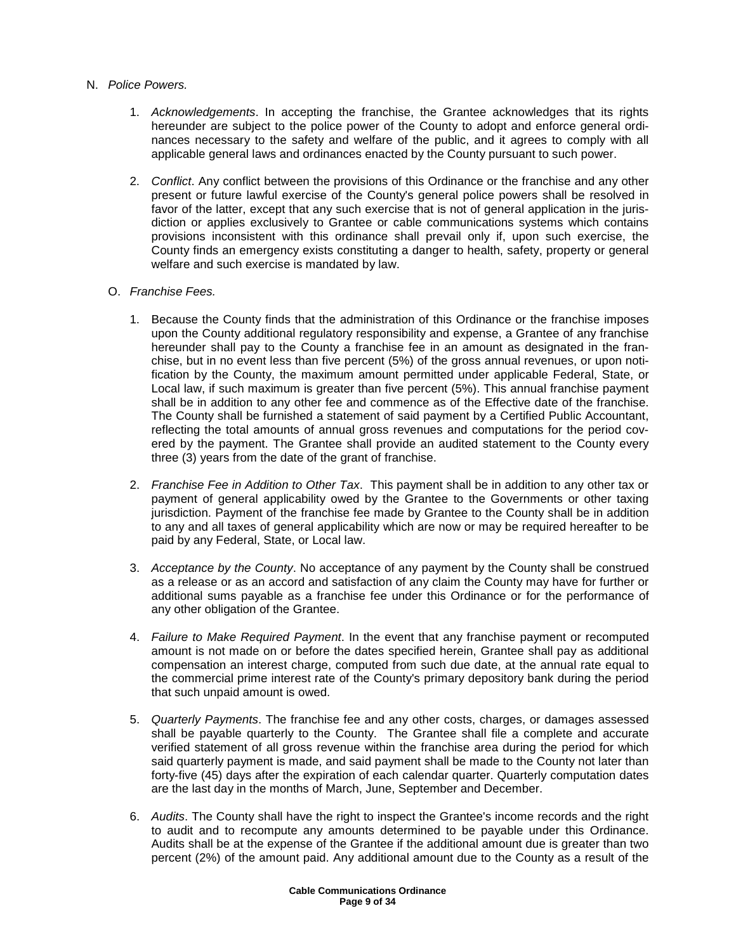### N. Police Powers.

- 1. Acknowledgements. In accepting the franchise, the Grantee acknowledges that its rights hereunder are subject to the police power of the County to adopt and enforce general ordinances necessary to the safety and welfare of the public, and it agrees to comply with all applicable general laws and ordinances enacted by the County pursuant to such power.
- 2. Conflict. Any conflict between the provisions of this Ordinance or the franchise and any other present or future lawful exercise of the County's general police powers shall be resolved in favor of the latter, except that any such exercise that is not of general application in the jurisdiction or applies exclusively to Grantee or cable communications systems which contains provisions inconsistent with this ordinance shall prevail only if, upon such exercise, the County finds an emergency exists constituting a danger to health, safety, property or general welfare and such exercise is mandated by law.

# O. Franchise Fees.

- 1. Because the County finds that the administration of this Ordinance or the franchise imposes upon the County additional regulatory responsibility and expense, a Grantee of any franchise hereunder shall pay to the County a franchise fee in an amount as designated in the franchise, but in no event less than five percent (5%) of the gross annual revenues, or upon notification by the County, the maximum amount permitted under applicable Federal, State, or Local law, if such maximum is greater than five percent (5%). This annual franchise payment shall be in addition to any other fee and commence as of the Effective date of the franchise. The County shall be furnished a statement of said payment by a Certified Public Accountant, reflecting the total amounts of annual gross revenues and computations for the period covered by the payment. The Grantee shall provide an audited statement to the County every three (3) years from the date of the grant of franchise.
- 2. Franchise Fee in Addition to Other Tax. This payment shall be in addition to any other tax or payment of general applicability owed by the Grantee to the Governments or other taxing jurisdiction. Payment of the franchise fee made by Grantee to the County shall be in addition to any and all taxes of general applicability which are now or may be required hereafter to be paid by any Federal, State, or Local law.
- 3. Acceptance by the County. No acceptance of any payment by the County shall be construed as a release or as an accord and satisfaction of any claim the County may have for further or additional sums payable as a franchise fee under this Ordinance or for the performance of any other obligation of the Grantee.
- 4. Failure to Make Required Payment. In the event that any franchise payment or recomputed amount is not made on or before the dates specified herein, Grantee shall pay as additional compensation an interest charge, computed from such due date, at the annual rate equal to the commercial prime interest rate of the County's primary depository bank during the period that such unpaid amount is owed.
- 5. Quarterly Payments. The franchise fee and any other costs, charges, or damages assessed shall be payable quarterly to the County. The Grantee shall file a complete and accurate verified statement of all gross revenue within the franchise area during the period for which said quarterly payment is made, and said payment shall be made to the County not later than forty-five (45) days after the expiration of each calendar quarter. Quarterly computation dates are the last day in the months of March, June, September and December.
- 6. Audits. The County shall have the right to inspect the Grantee's income records and the right to audit and to recompute any amounts determined to be payable under this Ordinance. Audits shall be at the expense of the Grantee if the additional amount due is greater than two percent (2%) of the amount paid. Any additional amount due to the County as a result of the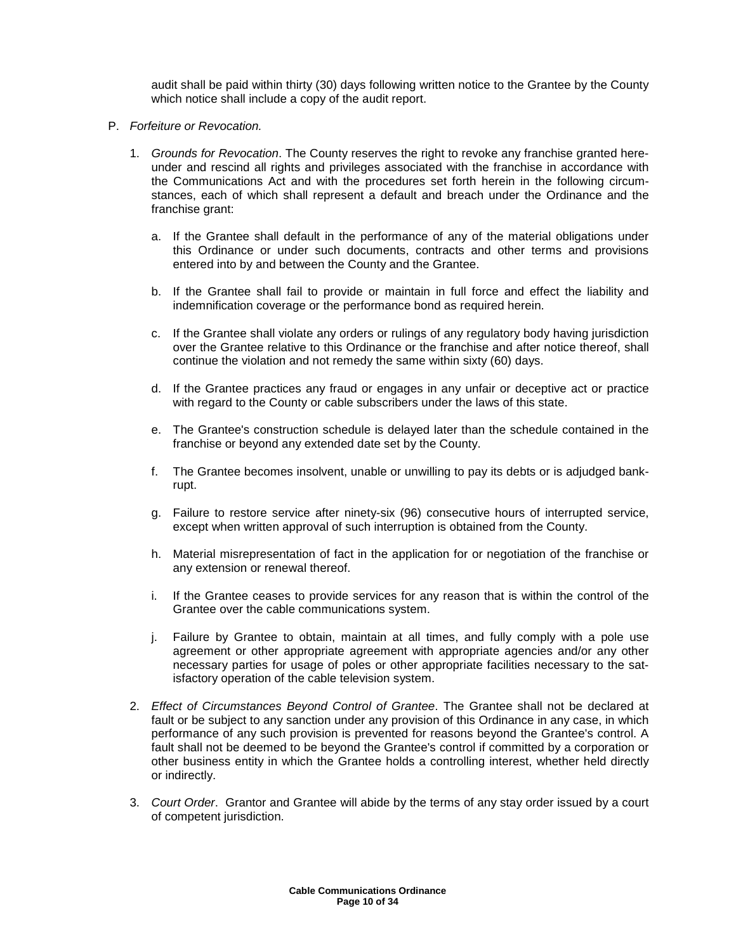audit shall be paid within thirty (30) days following written notice to the Grantee by the County which notice shall include a copy of the audit report.

- P. Forfeiture or Revocation.
	- 1. Grounds for Revocation. The County reserves the right to revoke any franchise granted hereunder and rescind all rights and privileges associated with the franchise in accordance with the Communications Act and with the procedures set forth herein in the following circumstances, each of which shall represent a default and breach under the Ordinance and the franchise grant:
		- a. If the Grantee shall default in the performance of any of the material obligations under this Ordinance or under such documents, contracts and other terms and provisions entered into by and between the County and the Grantee.
		- b. If the Grantee shall fail to provide or maintain in full force and effect the liability and indemnification coverage or the performance bond as required herein.
		- c. If the Grantee shall violate any orders or rulings of any regulatory body having jurisdiction over the Grantee relative to this Ordinance or the franchise and after notice thereof, shall continue the violation and not remedy the same within sixty (60) days.
		- d. If the Grantee practices any fraud or engages in any unfair or deceptive act or practice with regard to the County or cable subscribers under the laws of this state.
		- e. The Grantee's construction schedule is delayed later than the schedule contained in the franchise or beyond any extended date set by the County.
		- f. The Grantee becomes insolvent, unable or unwilling to pay its debts or is adjudged bankrupt.
		- g. Failure to restore service after ninety-six (96) consecutive hours of interrupted service, except when written approval of such interruption is obtained from the County.
		- h. Material misrepresentation of fact in the application for or negotiation of the franchise or any extension or renewal thereof.
		- i. If the Grantee ceases to provide services for any reason that is within the control of the Grantee over the cable communications system.
		- j. Failure by Grantee to obtain, maintain at all times, and fully comply with a pole use agreement or other appropriate agreement with appropriate agencies and/or any other necessary parties for usage of poles or other appropriate facilities necessary to the satisfactory operation of the cable television system.
	- 2. Effect of Circumstances Beyond Control of Grantee. The Grantee shall not be declared at fault or be subject to any sanction under any provision of this Ordinance in any case, in which performance of any such provision is prevented for reasons beyond the Grantee's control. A fault shall not be deemed to be beyond the Grantee's control if committed by a corporation or other business entity in which the Grantee holds a controlling interest, whether held directly or indirectly.
	- 3. Court Order. Grantor and Grantee will abide by the terms of any stay order issued by a court of competent jurisdiction.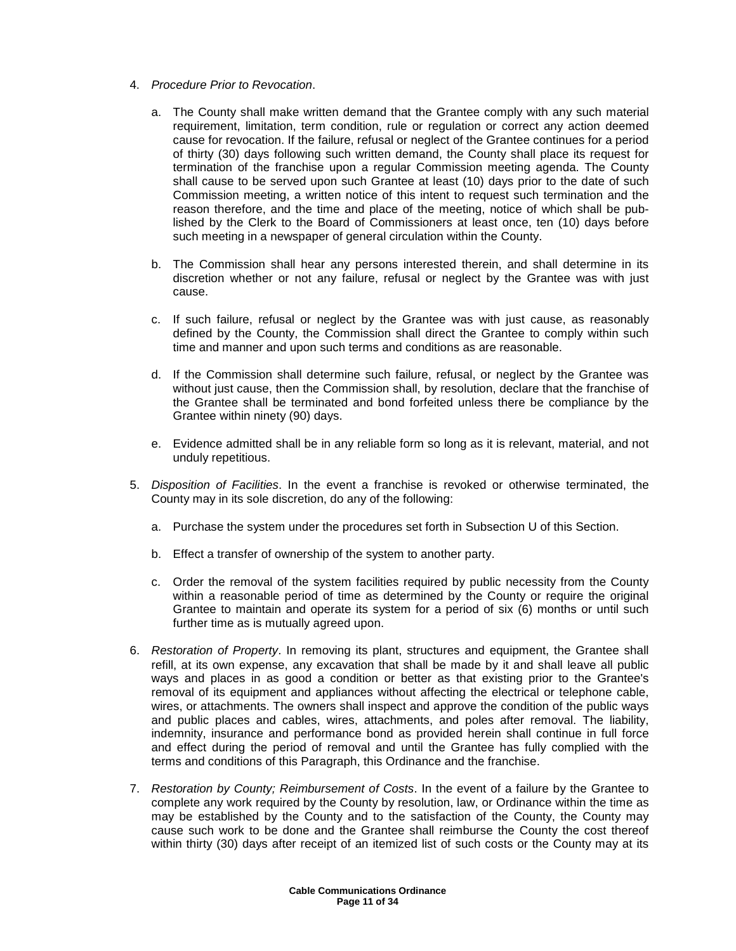- 4. Procedure Prior to Revocation.
	- a. The County shall make written demand that the Grantee comply with any such material requirement, limitation, term condition, rule or regulation or correct any action deemed cause for revocation. If the failure, refusal or neglect of the Grantee continues for a period of thirty (30) days following such written demand, the County shall place its request for termination of the franchise upon a regular Commission meeting agenda. The County shall cause to be served upon such Grantee at least (10) days prior to the date of such Commission meeting, a written notice of this intent to request such termination and the reason therefore, and the time and place of the meeting, notice of which shall be published by the Clerk to the Board of Commissioners at least once, ten (10) days before such meeting in a newspaper of general circulation within the County.
	- b. The Commission shall hear any persons interested therein, and shall determine in its discretion whether or not any failure, refusal or neglect by the Grantee was with just cause.
	- c. If such failure, refusal or neglect by the Grantee was with just cause, as reasonably defined by the County, the Commission shall direct the Grantee to comply within such time and manner and upon such terms and conditions as are reasonable.
	- d. If the Commission shall determine such failure, refusal, or neglect by the Grantee was without just cause, then the Commission shall, by resolution, declare that the franchise of the Grantee shall be terminated and bond forfeited unless there be compliance by the Grantee within ninety (90) days.
	- e. Evidence admitted shall be in any reliable form so long as it is relevant, material, and not unduly repetitious.
- 5. Disposition of Facilities. In the event a franchise is revoked or otherwise terminated, the County may in its sole discretion, do any of the following:
	- a. Purchase the system under the procedures set forth in Subsection U of this Section.
	- b. Effect a transfer of ownership of the system to another party.
	- c. Order the removal of the system facilities required by public necessity from the County within a reasonable period of time as determined by the County or require the original Grantee to maintain and operate its system for a period of six (6) months or until such further time as is mutually agreed upon.
- 6. Restoration of Property. In removing its plant, structures and equipment, the Grantee shall refill, at its own expense, any excavation that shall be made by it and shall leave all public ways and places in as good a condition or better as that existing prior to the Grantee's removal of its equipment and appliances without affecting the electrical or telephone cable, wires, or attachments. The owners shall inspect and approve the condition of the public ways and public places and cables, wires, attachments, and poles after removal. The liability, indemnity, insurance and performance bond as provided herein shall continue in full force and effect during the period of removal and until the Grantee has fully complied with the terms and conditions of this Paragraph, this Ordinance and the franchise.
- 7. Restoration by County; Reimbursement of Costs. In the event of a failure by the Grantee to complete any work required by the County by resolution, law, or Ordinance within the time as may be established by the County and to the satisfaction of the County, the County may cause such work to be done and the Grantee shall reimburse the County the cost thereof within thirty (30) days after receipt of an itemized list of such costs or the County may at its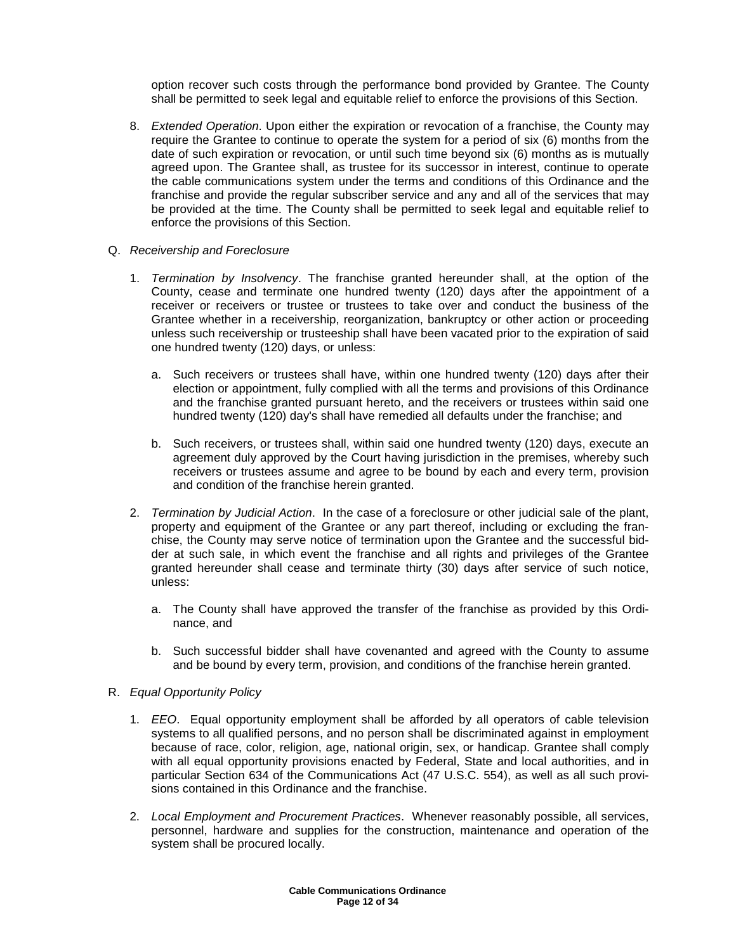option recover such costs through the performance bond provided by Grantee. The County shall be permitted to seek legal and equitable relief to enforce the provisions of this Section.

- 8. Extended Operation. Upon either the expiration or revocation of a franchise, the County may require the Grantee to continue to operate the system for a period of six (6) months from the date of such expiration or revocation, or until such time beyond six (6) months as is mutually agreed upon. The Grantee shall, as trustee for its successor in interest, continue to operate the cable communications system under the terms and conditions of this Ordinance and the franchise and provide the regular subscriber service and any and all of the services that may be provided at the time. The County shall be permitted to seek legal and equitable relief to enforce the provisions of this Section.
- Q. Receivership and Foreclosure
	- 1. Termination by Insolvency. The franchise granted hereunder shall, at the option of the County, cease and terminate one hundred twenty (120) days after the appointment of a receiver or receivers or trustee or trustees to take over and conduct the business of the Grantee whether in a receivership, reorganization, bankruptcy or other action or proceeding unless such receivership or trusteeship shall have been vacated prior to the expiration of said one hundred twenty (120) days, or unless:
		- a. Such receivers or trustees shall have, within one hundred twenty (120) days after their election or appointment, fully complied with all the terms and provisions of this Ordinance and the franchise granted pursuant hereto, and the receivers or trustees within said one hundred twenty (120) day's shall have remedied all defaults under the franchise; and
		- b. Such receivers, or trustees shall, within said one hundred twenty (120) days, execute an agreement duly approved by the Court having jurisdiction in the premises, whereby such receivers or trustees assume and agree to be bound by each and every term, provision and condition of the franchise herein granted.
	- 2. Termination by Judicial Action. In the case of a foreclosure or other judicial sale of the plant, property and equipment of the Grantee or any part thereof, including or excluding the franchise, the County may serve notice of termination upon the Grantee and the successful bidder at such sale, in which event the franchise and all rights and privileges of the Grantee granted hereunder shall cease and terminate thirty (30) days after service of such notice, unless:
		- a. The County shall have approved the transfer of the franchise as provided by this Ordinance, and
		- b. Such successful bidder shall have covenanted and agreed with the County to assume and be bound by every term, provision, and conditions of the franchise herein granted.
- R. Equal Opportunity Policy
	- 1. EEO. Equal opportunity employment shall be afforded by all operators of cable television systems to all qualified persons, and no person shall be discriminated against in employment because of race, color, religion, age, national origin, sex, or handicap. Grantee shall comply with all equal opportunity provisions enacted by Federal, State and local authorities, and in particular Section 634 of the Communications Act (47 U.S.C. 554), as well as all such provisions contained in this Ordinance and the franchise.
	- 2. Local Employment and Procurement Practices. Whenever reasonably possible, all services, personnel, hardware and supplies for the construction, maintenance and operation of the system shall be procured locally.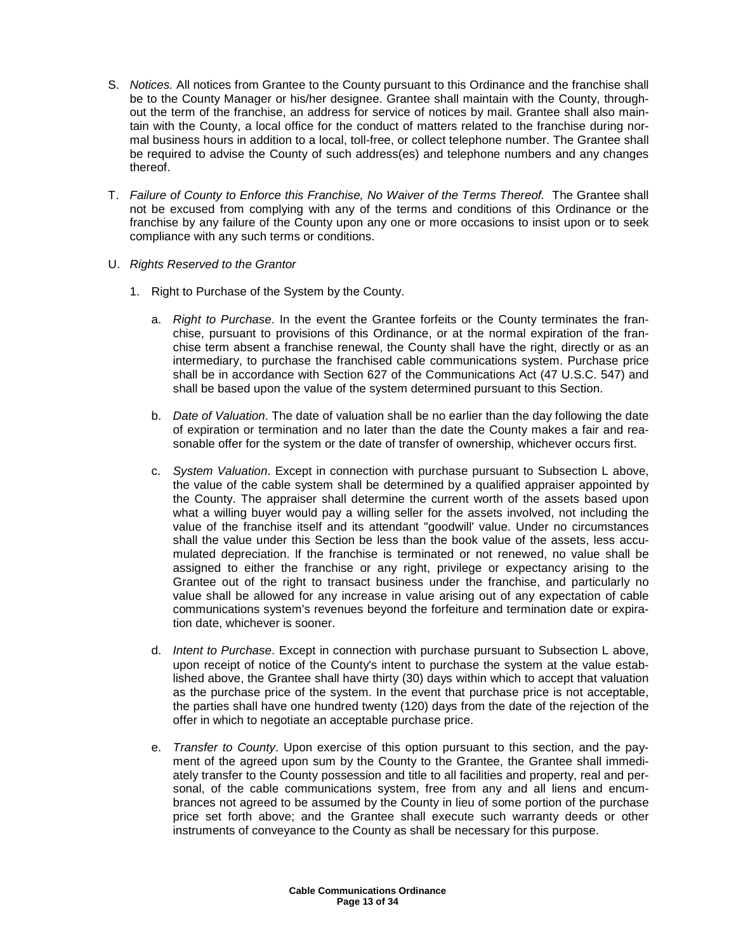- S. Notices. All notices from Grantee to the County pursuant to this Ordinance and the franchise shall be to the County Manager or his/her designee. Grantee shall maintain with the County, throughout the term of the franchise, an address for service of notices by mail. Grantee shall also maintain with the County, a local office for the conduct of matters related to the franchise during normal business hours in addition to a local, toll-free, or collect telephone number. The Grantee shall be required to advise the County of such address(es) and telephone numbers and any changes thereof.
- T. Failure of County to Enforce this Franchise, No Waiver of the Terms Thereof. The Grantee shall not be excused from complying with any of the terms and conditions of this Ordinance or the franchise by any failure of the County upon any one or more occasions to insist upon or to seek compliance with any such terms or conditions.
- U. Rights Reserved to the Grantor
	- 1. Right to Purchase of the System by the County.
		- a. Right to Purchase. In the event the Grantee forfeits or the County terminates the franchise, pursuant to provisions of this Ordinance, or at the normal expiration of the franchise term absent a franchise renewal, the County shall have the right, directly or as an intermediary, to purchase the franchised cable communications system. Purchase price shall be in accordance with Section 627 of the Communications Act (47 U.S.C. 547) and shall be based upon the value of the system determined pursuant to this Section.
		- b. Date of Valuation. The date of valuation shall be no earlier than the day following the date of expiration or termination and no later than the date the County makes a fair and reasonable offer for the system or the date of transfer of ownership, whichever occurs first.
		- c. System Valuation. Except in connection with purchase pursuant to Subsection L above, the value of the cable system shall be determined by a qualified appraiser appointed by the County. The appraiser shall determine the current worth of the assets based upon what a willing buyer would pay a willing seller for the assets involved, not including the value of the franchise itself and its attendant "goodwill' value. Under no circumstances shall the value under this Section be less than the book value of the assets, less accumulated depreciation. lf the franchise is terminated or not renewed, no value shall be assigned to either the franchise or any right, privilege or expectancy arising to the Grantee out of the right to transact business under the franchise, and particularly no value shall be allowed for any increase in value arising out of any expectation of cable communications system's revenues beyond the forfeiture and termination date or expiration date, whichever is sooner.
		- d. Intent to Purchase. Except in connection with purchase pursuant to Subsection L above, upon receipt of notice of the County's intent to purchase the system at the value established above, the Grantee shall have thirty (30) days within which to accept that valuation as the purchase price of the system. In the event that purchase price is not acceptable, the parties shall have one hundred twenty (120) days from the date of the rejection of the offer in which to negotiate an acceptable purchase price.
		- e. Transfer to County. Upon exercise of this option pursuant to this section, and the payment of the agreed upon sum by the County to the Grantee, the Grantee shall immediately transfer to the County possession and title to all facilities and property, real and personal, of the cable communications system, free from any and all liens and encumbrances not agreed to be assumed by the County in lieu of some portion of the purchase price set forth above; and the Grantee shall execute such warranty deeds or other instruments of conveyance to the County as shall be necessary for this purpose.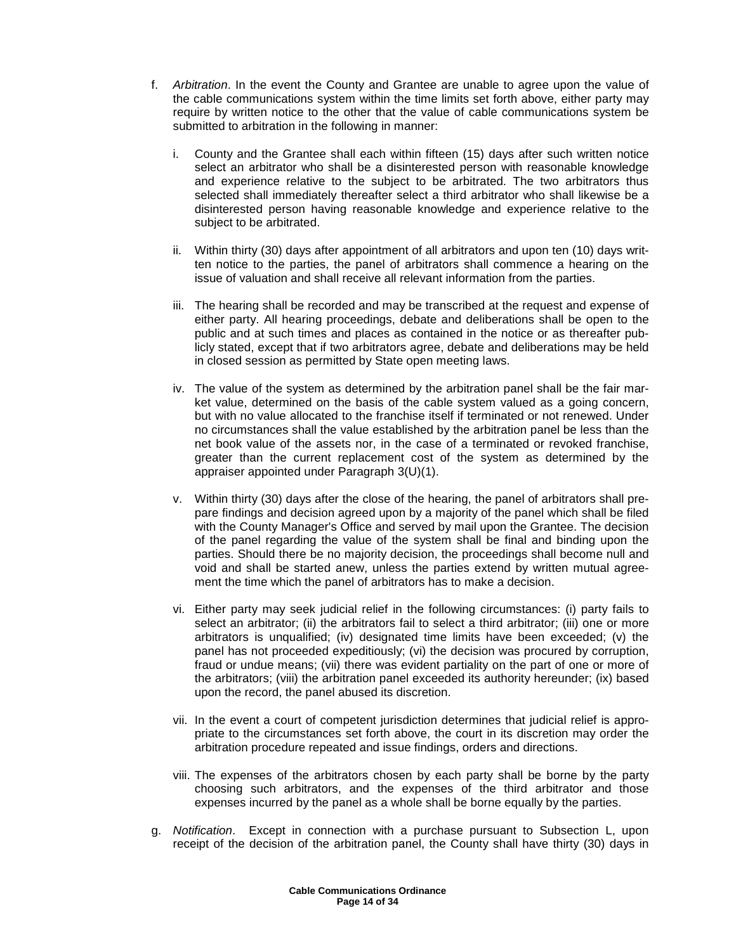- f. Arbitration. In the event the County and Grantee are unable to agree upon the value of the cable communications system within the time limits set forth above, either party may require by written notice to the other that the value of cable communications system be submitted to arbitration in the following in manner:
	- i. County and the Grantee shall each within fifteen (15) days after such written notice select an arbitrator who shall be a disinterested person with reasonable knowledge and experience relative to the subject to be arbitrated. The two arbitrators thus selected shall immediately thereafter select a third arbitrator who shall likewise be a disinterested person having reasonable knowledge and experience relative to the subject to be arbitrated.
	- ii. Within thirty (30) days after appointment of all arbitrators and upon ten (10) days written notice to the parties, the panel of arbitrators shall commence a hearing on the issue of valuation and shall receive all relevant information from the parties.
	- iii. The hearing shall be recorded and may be transcribed at the request and expense of either party. All hearing proceedings, debate and deliberations shall be open to the public and at such times and places as contained in the notice or as thereafter publicly stated, except that if two arbitrators agree, debate and deliberations may be held in closed session as permitted by State open meeting laws.
	- iv. The value of the system as determined by the arbitration panel shall be the fair market value, determined on the basis of the cable system valued as a going concern, but with no value allocated to the franchise itself if terminated or not renewed. Under no circumstances shall the value established by the arbitration panel be less than the net book value of the assets nor, in the case of a terminated or revoked franchise, greater than the current replacement cost of the system as determined by the appraiser appointed under Paragraph 3(U)(1).
	- v. Within thirty (30) days after the close of the hearing, the panel of arbitrators shall prepare findings and decision agreed upon by a majority of the panel which shall be filed with the County Manager's Office and served by mail upon the Grantee. The decision of the panel regarding the value of the system shall be final and binding upon the parties. Should there be no majority decision, the proceedings shall become null and void and shall be started anew, unless the parties extend by written mutual agreement the time which the panel of arbitrators has to make a decision.
	- vi. Either party may seek judicial relief in the following circumstances: (i) party fails to select an arbitrator; (ii) the arbitrators fail to select a third arbitrator; (iii) one or more arbitrators is unqualified; (iv) designated time limits have been exceeded; (v) the panel has not proceeded expeditiously; (vi) the decision was procured by corruption, fraud or undue means; (vii) there was evident partiality on the part of one or more of the arbitrators; (viii) the arbitration panel exceeded its authority hereunder; (ix) based upon the record, the panel abused its discretion.
	- vii. In the event a court of competent jurisdiction determines that judicial relief is appropriate to the circumstances set forth above, the court in its discretion may order the arbitration procedure repeated and issue findings, orders and directions.
	- viii. The expenses of the arbitrators chosen by each party shall be borne by the party choosing such arbitrators, and the expenses of the third arbitrator and those expenses incurred by the panel as a whole shall be borne equally by the parties.
- g. Notification. Except in connection with a purchase pursuant to Subsection L, upon receipt of the decision of the arbitration panel, the County shall have thirty (30) days in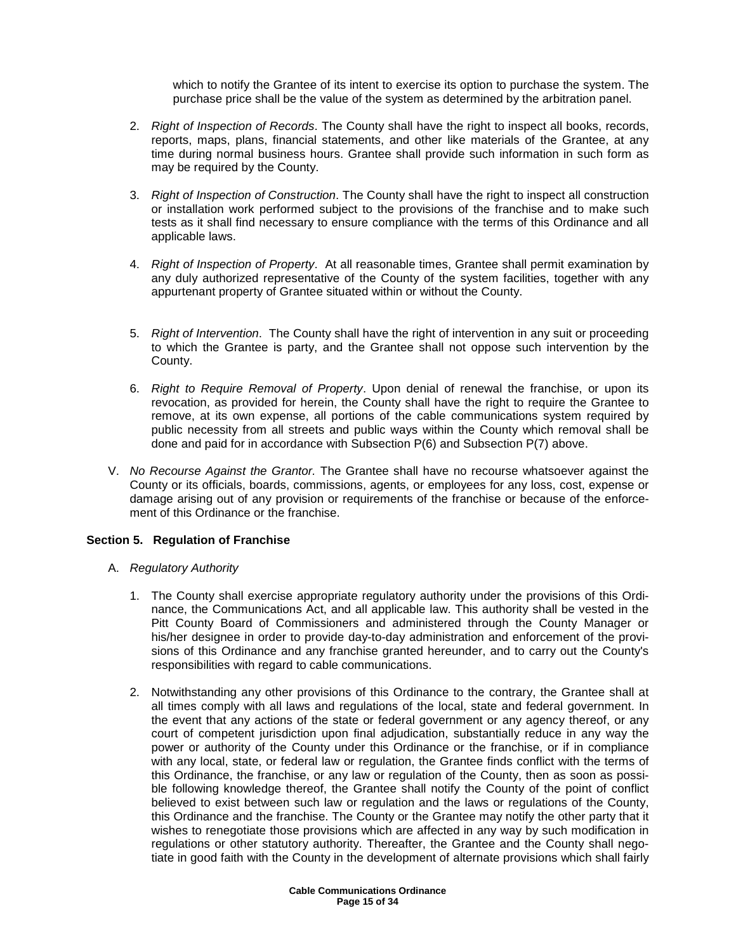which to notify the Grantee of its intent to exercise its option to purchase the system. The purchase price shall be the value of the system as determined by the arbitration panel.

- 2. Right of Inspection of Records. The County shall have the right to inspect all books, records, reports, maps, plans, financial statements, and other like materials of the Grantee, at any time during normal business hours. Grantee shall provide such information in such form as may be required by the County.
- 3. Right of Inspection of Construction. The County shall have the right to inspect all construction or installation work performed subject to the provisions of the franchise and to make such tests as it shall find necessary to ensure compliance with the terms of this Ordinance and all applicable laws.
- 4. Right of Inspection of Property. At all reasonable times, Grantee shall permit examination by any duly authorized representative of the County of the system facilities, together with any appurtenant property of Grantee situated within or without the County.
- 5. Right of Intervention. The County shall have the right of intervention in any suit or proceeding to which the Grantee is party, and the Grantee shall not oppose such intervention by the County.
- 6. Right to Require Removal of Property. Upon denial of renewal the franchise, or upon its revocation, as provided for herein, the County shall have the right to require the Grantee to remove, at its own expense, all portions of the cable communications system required by public necessity from all streets and public ways within the County which removal shall be done and paid for in accordance with Subsection P(6) and Subsection P(7) above.
- V. No Recourse Against the Grantor. The Grantee shall have no recourse whatsoever against the County or its officials, boards, commissions, agents, or employees for any loss, cost, expense or damage arising out of any provision or requirements of the franchise or because of the enforcement of this Ordinance or the franchise.

### **Section 5. Regulation of Franchise**

- A. Regulatory Authority
	- 1. The County shall exercise appropriate regulatory authority under the provisions of this Ordinance, the Communications Act, and all applicable law. This authority shall be vested in the Pitt County Board of Commissioners and administered through the County Manager or his/her designee in order to provide day-to-day administration and enforcement of the provisions of this Ordinance and any franchise granted hereunder, and to carry out the County's responsibilities with regard to cable communications.
	- 2. Notwithstanding any other provisions of this Ordinance to the contrary, the Grantee shall at all times comply with all laws and regulations of the local, state and federal government. In the event that any actions of the state or federal government or any agency thereof, or any court of competent jurisdiction upon final adjudication, substantially reduce in any way the power or authority of the County under this Ordinance or the franchise, or if in compliance with any local, state, or federal law or regulation, the Grantee finds conflict with the terms of this Ordinance, the franchise, or any law or regulation of the County, then as soon as possible following knowledge thereof, the Grantee shall notify the County of the point of conflict believed to exist between such law or regulation and the laws or regulations of the County, this Ordinance and the franchise. The County or the Grantee may notify the other party that it wishes to renegotiate those provisions which are affected in any way by such modification in regulations or other statutory authority. Thereafter, the Grantee and the County shall negotiate in good faith with the County in the development of alternate provisions which shall fairly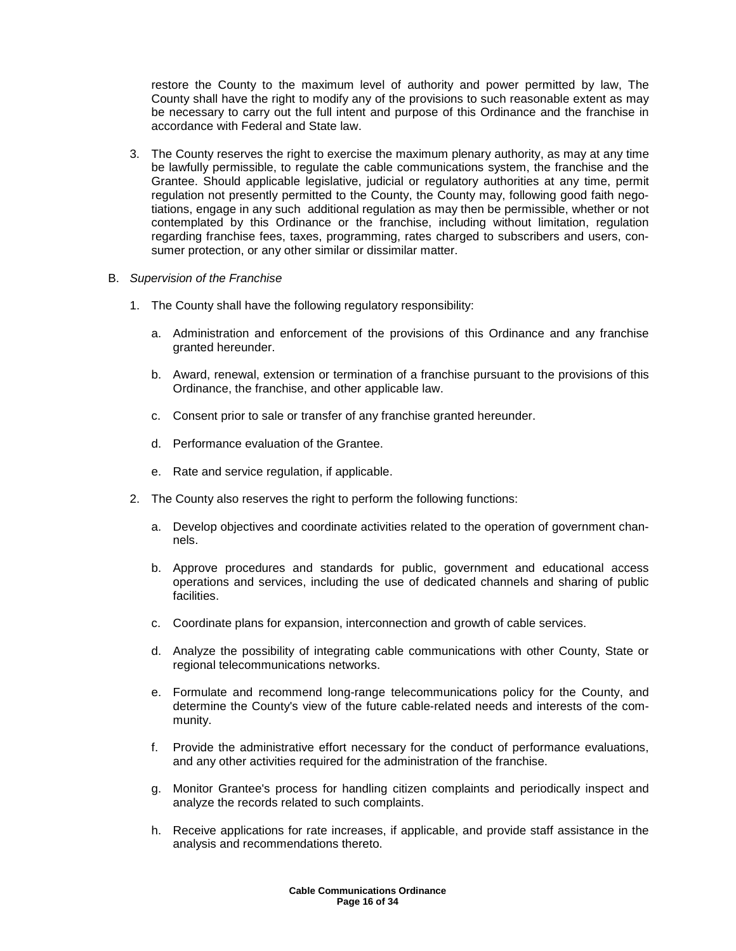restore the County to the maximum level of authority and power permitted by law, The County shall have the right to modify any of the provisions to such reasonable extent as may be necessary to carry out the full intent and purpose of this Ordinance and the franchise in accordance with Federal and State law.

- 3. The County reserves the right to exercise the maximum plenary authority, as may at any time be lawfully permissible, to regulate the cable communications system, the franchise and the Grantee. Should applicable legislative, judicial or regulatory authorities at any time, permit regulation not presently permitted to the County, the County may, following good faith negotiations, engage in any such additional regulation as may then be permissible, whether or not contemplated by this Ordinance or the franchise, including without limitation, regulation regarding franchise fees, taxes, programming, rates charged to subscribers and users, consumer protection, or any other similar or dissimilar matter.
- B. Supervision of the Franchise
	- 1. The County shall have the following regulatory responsibility:
		- a. Administration and enforcement of the provisions of this Ordinance and any franchise granted hereunder.
		- b. Award, renewal, extension or termination of a franchise pursuant to the provisions of this Ordinance, the franchise, and other applicable law.
		- c. Consent prior to sale or transfer of any franchise granted hereunder.
		- d. Performance evaluation of the Grantee.
		- e. Rate and service regulation, if applicable.
	- 2. The County also reserves the right to perform the following functions:
		- a. Develop objectives and coordinate activities related to the operation of government channels.
		- b. Approve procedures and standards for public, government and educational access operations and services, including the use of dedicated channels and sharing of public facilities.
		- c. Coordinate plans for expansion, interconnection and growth of cable services.
		- d. Analyze the possibility of integrating cable communications with other County, State or regional telecommunications networks.
		- e. Formulate and recommend long-range telecommunications policy for the County, and determine the County's view of the future cable-related needs and interests of the community.
		- f. Provide the administrative effort necessary for the conduct of performance evaluations, and any other activities required for the administration of the franchise.
		- g. Monitor Grantee's process for handling citizen complaints and periodically inspect and analyze the records related to such complaints.
		- h. Receive applications for rate increases, if applicable, and provide staff assistance in the analysis and recommendations thereto.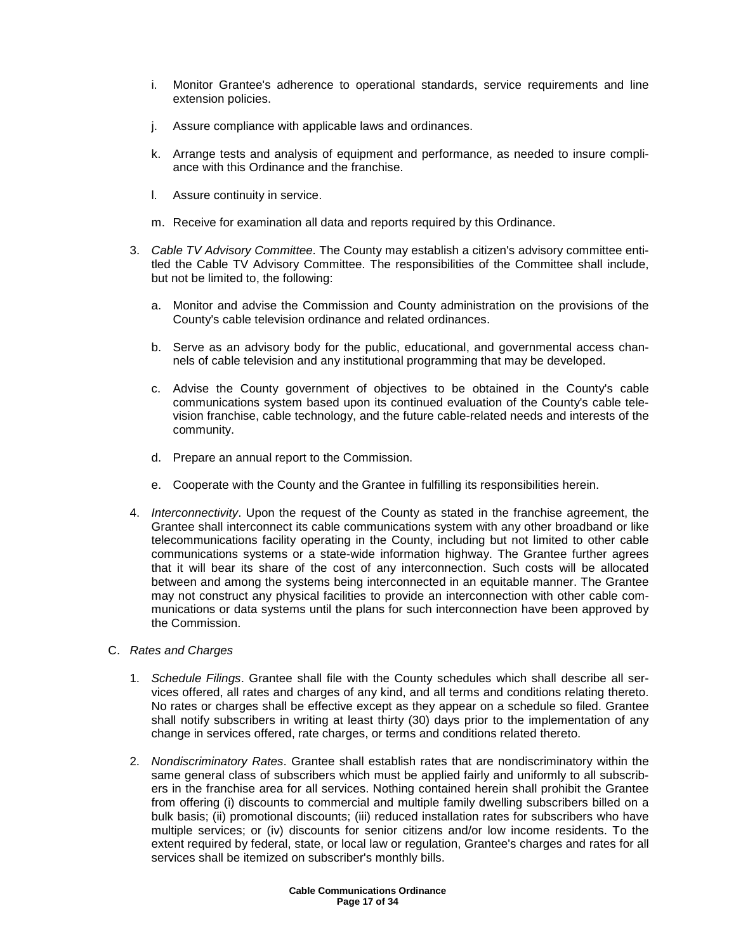- i. Monitor Grantee's adherence to operational standards, service requirements and line extension policies.
- j. Assure compliance with applicable laws and ordinances.
- k. Arrange tests and analysis of equipment and performance, as needed to insure compliance with this Ordinance and the franchise.
- l. Assure continuity in service.
- m. Receive for examination all data and reports required by this Ordinance.
- 3. Cable TV Advisory Committee. The County may establish a citizen's advisory committee entitled the Cable TV Advisory Committee. The responsibilities of the Committee shall include, but not be limited to, the following:
	- a. Monitor and advise the Commission and County administration on the provisions of the County's cable television ordinance and related ordinances.
	- b. Serve as an advisory body for the public, educational, and governmental access channels of cable television and any institutional programming that may be developed.
	- c. Advise the County government of objectives to be obtained in the County's cable communications system based upon its continued evaluation of the County's cable television franchise, cable technology, and the future cable-related needs and interests of the community.
	- d. Prepare an annual report to the Commission.
	- e. Cooperate with the County and the Grantee in fulfilling its responsibilities herein.
- 4. Interconnectivity. Upon the request of the County as stated in the franchise agreement, the Grantee shall interconnect its cable communications system with any other broadband or like telecommunications facility operating in the County, including but not limited to other cable communications systems or a state-wide information highway. The Grantee further agrees that it will bear its share of the cost of any interconnection. Such costs will be allocated between and among the systems being interconnected in an equitable manner. The Grantee may not construct any physical facilities to provide an interconnection with other cable communications or data systems until the plans for such interconnection have been approved by the Commission.
- C. Rates and Charges
	- 1. Schedule Filings. Grantee shall file with the County schedules which shall describe all services offered, all rates and charges of any kind, and all terms and conditions relating thereto. No rates or charges shall be effective except as they appear on a schedule so filed. Grantee shall notify subscribers in writing at least thirty (30) days prior to the implementation of any change in services offered, rate charges, or terms and conditions related thereto.
	- 2. Nondiscriminatory Rates. Grantee shall establish rates that are nondiscriminatory within the same general class of subscribers which must be applied fairly and uniformly to all subscribers in the franchise area for all services. Nothing contained herein shall prohibit the Grantee from offering (i) discounts to commercial and multiple family dwelling subscribers billed on a bulk basis; (ii) promotional discounts; (iii) reduced installation rates for subscribers who have multiple services; or (iv) discounts for senior citizens and/or low income residents. To the extent required by federal, state, or local law or regulation, Grantee's charges and rates for all services shall be itemized on subscriber's monthly bills.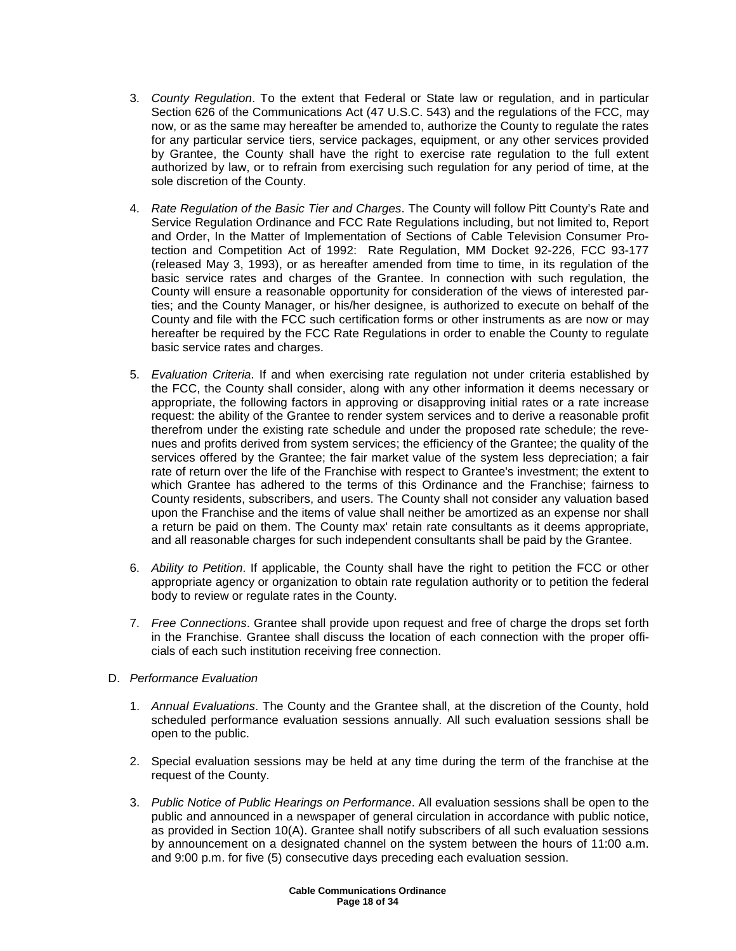- 3. County Regulation. To the extent that Federal or State law or regulation, and in particular Section 626 of the Communications Act (47 U.S.C. 543) and the regulations of the FCC, may now, or as the same may hereafter be amended to, authorize the County to regulate the rates for any particular service tiers, service packages, equipment, or any other services provided by Grantee, the County shall have the right to exercise rate regulation to the full extent authorized by law, or to refrain from exercising such regulation for any period of time, at the sole discretion of the County.
- 4. Rate Regulation of the Basic Tier and Charges. The County will follow Pitt County's Rate and Service Regulation Ordinance and FCC Rate Regulations including, but not limited to, Report and Order, In the Matter of Implementation of Sections of Cable Television Consumer Protection and Competition Act of 1992: Rate Regulation, MM Docket 92-226, FCC 93-177 (released May 3, 1993), or as hereafter amended from time to time, in its regulation of the basic service rates and charges of the Grantee. In connection with such regulation, the County will ensure a reasonable opportunity for consideration of the views of interested parties; and the County Manager, or his/her designee, is authorized to execute on behalf of the County and file with the FCC such certification forms or other instruments as are now or may hereafter be required by the FCC Rate Regulations in order to enable the County to regulate basic service rates and charges.
- 5. Evaluation Criteria. If and when exercising rate regulation not under criteria established by the FCC, the County shall consider, along with any other information it deems necessary or appropriate, the following factors in approving or disapproving initial rates or a rate increase request: the ability of the Grantee to render system services and to derive a reasonable profit therefrom under the existing rate schedule and under the proposed rate schedule; the revenues and profits derived from system services; the efficiency of the Grantee; the quality of the services offered by the Grantee; the fair market value of the system less depreciation; a fair rate of return over the life of the Franchise with respect to Grantee's investment; the extent to which Grantee has adhered to the terms of this Ordinance and the Franchise; fairness to County residents, subscribers, and users. The County shall not consider any valuation based upon the Franchise and the items of value shall neither be amortized as an expense nor shall a return be paid on them. The County max' retain rate consultants as it deems appropriate, and all reasonable charges for such independent consultants shall be paid by the Grantee.
- 6. Ability to Petition. If applicable, the County shall have the right to petition the FCC or other appropriate agency or organization to obtain rate regulation authority or to petition the federal body to review or regulate rates in the County.
- 7. Free Connections. Grantee shall provide upon request and free of charge the drops set forth in the Franchise. Grantee shall discuss the location of each connection with the proper officials of each such institution receiving free connection.
- D. Performance Evaluation
	- 1. Annual Evaluations. The County and the Grantee shall, at the discretion of the County, hold scheduled performance evaluation sessions annually. All such evaluation sessions shall be open to the public.
	- 2. Special evaluation sessions may be held at any time during the term of the franchise at the request of the County.
	- 3. Public Notice of Public Hearings on Performance. All evaluation sessions shall be open to the public and announced in a newspaper of general circulation in accordance with public notice, as provided in Section 10(A). Grantee shall notify subscribers of all such evaluation sessions by announcement on a designated channel on the system between the hours of 11:00 a.m. and 9:00 p.m. for five (5) consecutive days preceding each evaluation session.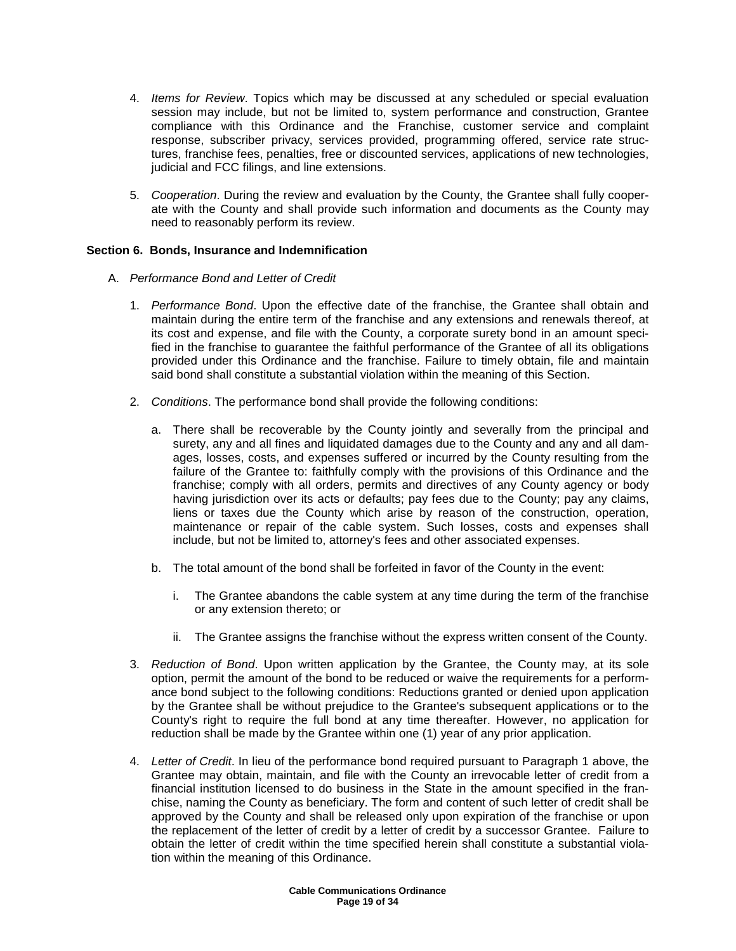- 4. Items for Review. Topics which may be discussed at any scheduled or special evaluation session may include, but not be limited to, system performance and construction, Grantee compliance with this Ordinance and the Franchise, customer service and complaint response, subscriber privacy, services provided, programming offered, service rate structures, franchise fees, penalties, free or discounted services, applications of new technologies, judicial and FCC filings, and line extensions.
- 5. Cooperation. During the review and evaluation by the County, the Grantee shall fully cooperate with the County and shall provide such information and documents as the County may need to reasonably perform its review.

### **Section 6. Bonds, Insurance and Indemnification**

- A. Performance Bond and Letter of Credit
	- 1. Performance Bond. Upon the effective date of the franchise, the Grantee shall obtain and maintain during the entire term of the franchise and any extensions and renewals thereof, at its cost and expense, and file with the County, a corporate surety bond in an amount specified in the franchise to guarantee the faithful performance of the Grantee of all its obligations provided under this Ordinance and the franchise. Failure to timely obtain, file and maintain said bond shall constitute a substantial violation within the meaning of this Section.
	- 2. Conditions. The performance bond shall provide the following conditions:
		- a. There shall be recoverable by the County jointly and severally from the principal and surety, any and all fines and liquidated damages due to the County and any and all damages, losses, costs, and expenses suffered or incurred by the County resulting from the failure of the Grantee to: faithfully comply with the provisions of this Ordinance and the franchise; comply with all orders, permits and directives of any County agency or body having jurisdiction over its acts or defaults; pay fees due to the County; pay any claims, liens or taxes due the County which arise by reason of the construction, operation, maintenance or repair of the cable system. Such losses, costs and expenses shall include, but not be limited to, attorney's fees and other associated expenses.
		- b. The total amount of the bond shall be forfeited in favor of the County in the event:
			- i. The Grantee abandons the cable system at any time during the term of the franchise or any extension thereto; or
			- ii. The Grantee assigns the franchise without the express written consent of the County.
	- 3. Reduction of Bond. Upon written application by the Grantee, the County may, at its sole option, permit the amount of the bond to be reduced or waive the requirements for a performance bond subject to the following conditions: Reductions granted or denied upon application by the Grantee shall be without prejudice to the Grantee's subsequent applications or to the County's right to require the full bond at any time thereafter. However, no application for reduction shall be made by the Grantee within one (1) year of any prior application.
	- 4. Letter of Credit. In lieu of the performance bond required pursuant to Paragraph 1 above, the Grantee may obtain, maintain, and file with the County an irrevocable letter of credit from a financial institution licensed to do business in the State in the amount specified in the franchise, naming the County as beneficiary. The form and content of such letter of credit shall be approved by the County and shall be released only upon expiration of the franchise or upon the replacement of the letter of credit by a letter of credit by a successor Grantee. Failure to obtain the letter of credit within the time specified herein shall constitute a substantial violation within the meaning of this Ordinance.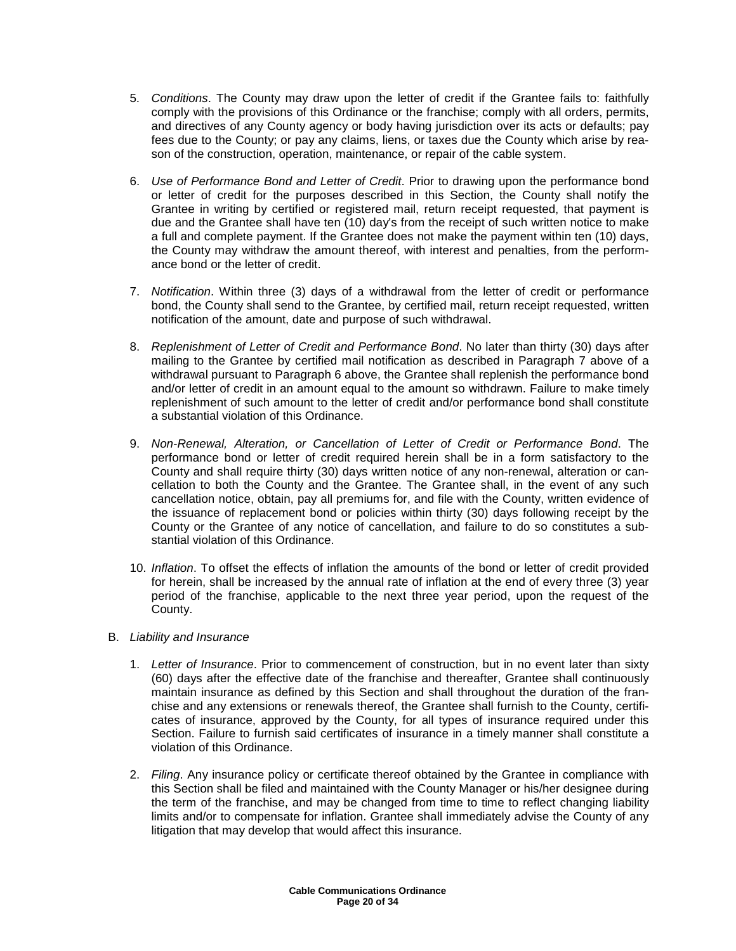- 5. Conditions. The County may draw upon the letter of credit if the Grantee fails to: faithfully comply with the provisions of this Ordinance or the franchise; comply with all orders, permits, and directives of any County agency or body having jurisdiction over its acts or defaults; pay fees due to the County; or pay any claims, liens, or taxes due the County which arise by reason of the construction, operation, maintenance, or repair of the cable system.
- 6. Use of Performance Bond and Letter of Credit. Prior to drawing upon the performance bond or letter of credit for the purposes described in this Section, the County shall notify the Grantee in writing by certified or registered mail, return receipt requested, that payment is due and the Grantee shall have ten (10) day's from the receipt of such written notice to make a full and complete payment. If the Grantee does not make the payment within ten (10) days, the County may withdraw the amount thereof, with interest and penalties, from the performance bond or the letter of credit.
- 7. Notification. Within three (3) days of a withdrawal from the letter of credit or performance bond, the County shall send to the Grantee, by certified mail, return receipt requested, written notification of the amount, date and purpose of such withdrawal.
- 8. Replenishment of Letter of Credit and Performance Bond. No later than thirty (30) days after mailing to the Grantee by certified mail notification as described in Paragraph 7 above of a withdrawal pursuant to Paragraph 6 above, the Grantee shall replenish the performance bond and/or letter of credit in an amount equal to the amount so withdrawn. Failure to make timely replenishment of such amount to the letter of credit and/or performance bond shall constitute a substantial violation of this Ordinance.
- 9. Non-Renewal, Alteration, or Cancellation of Letter of Credit or Performance Bond. The performance bond or letter of credit required herein shall be in a form satisfactory to the County and shall require thirty (30) days written notice of any non-renewal, alteration or cancellation to both the County and the Grantee. The Grantee shall, in the event of any such cancellation notice, obtain, pay all premiums for, and file with the County, written evidence of the issuance of replacement bond or policies within thirty (30) days following receipt by the County or the Grantee of any notice of cancellation, and failure to do so constitutes a substantial violation of this Ordinance.
- 10. Inflation. To offset the effects of inflation the amounts of the bond or letter of credit provided for herein, shall be increased by the annual rate of inflation at the end of every three (3) year period of the franchise, applicable to the next three year period, upon the request of the County.

# B. Liability and Insurance

- 1. Letter of Insurance. Prior to commencement of construction, but in no event later than sixty (60) days after the effective date of the franchise and thereafter, Grantee shall continuously maintain insurance as defined by this Section and shall throughout the duration of the franchise and any extensions or renewals thereof, the Grantee shall furnish to the County, certificates of insurance, approved by the County, for all types of insurance required under this Section. Failure to furnish said certificates of insurance in a timely manner shall constitute a violation of this Ordinance.
- 2. Filing. Any insurance policy or certificate thereof obtained by the Grantee in compliance with this Section shall be filed and maintained with the County Manager or his/her designee during the term of the franchise, and may be changed from time to time to reflect changing liability limits and/or to compensate for inflation. Grantee shall immediately advise the County of any litigation that may develop that would affect this insurance.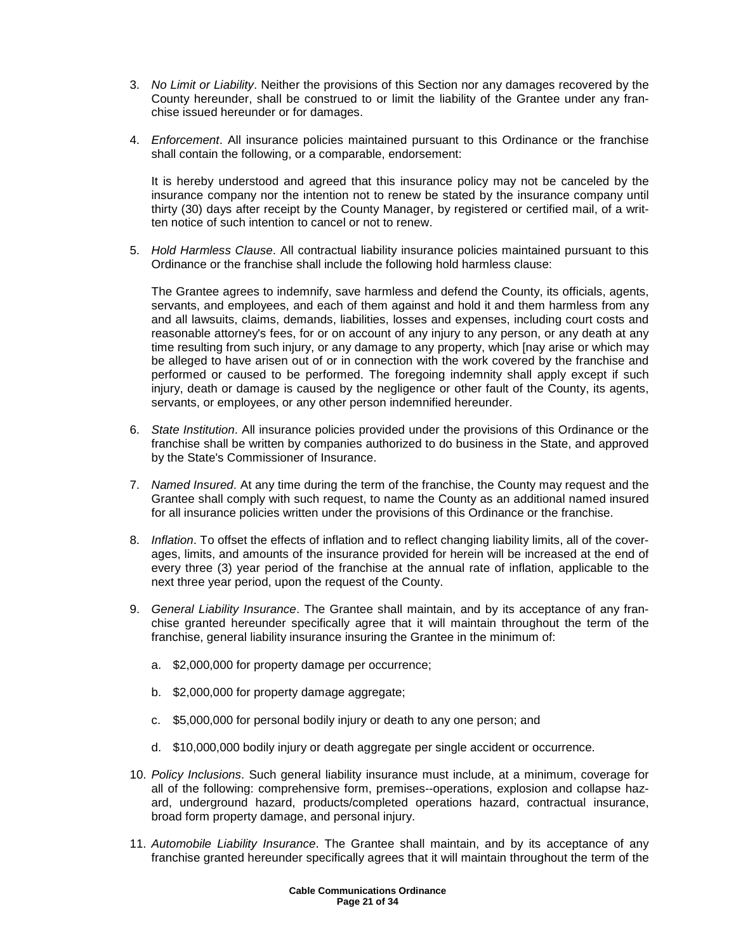- 3. No Limit or Liability. Neither the provisions of this Section nor any damages recovered by the County hereunder, shall be construed to or limit the liability of the Grantee under any franchise issued hereunder or for damages.
- 4. Enforcement. All insurance policies maintained pursuant to this Ordinance or the franchise shall contain the following, or a comparable, endorsement:

It is hereby understood and agreed that this insurance policy may not be canceled by the insurance company nor the intention not to renew be stated by the insurance company until thirty (30) days after receipt by the County Manager, by registered or certified mail, of a written notice of such intention to cancel or not to renew.

5. Hold Harmless Clause. All contractual liability insurance policies maintained pursuant to this Ordinance or the franchise shall include the following hold harmless clause:

The Grantee agrees to indemnify, save harmless and defend the County, its officials, agents, servants, and employees, and each of them against and hold it and them harmless from any and all lawsuits, claims, demands, liabilities, losses and expenses, including court costs and reasonable attorney's fees, for or on account of any injury to any person, or any death at any time resulting from such injury, or any damage to any property, which [nay arise or which may be alleged to have arisen out of or in connection with the work covered by the franchise and performed or caused to be performed. The foregoing indemnity shall apply except if such injury, death or damage is caused by the negligence or other fault of the County, its agents, servants, or employees, or any other person indemnified hereunder.

- 6. State Institution. All insurance policies provided under the provisions of this Ordinance or the franchise shall be written by companies authorized to do business in the State, and approved by the State's Commissioner of Insurance.
- 7. Named Insured. At any time during the term of the franchise, the County may request and the Grantee shall comply with such request, to name the County as an additional named insured for all insurance policies written under the provisions of this Ordinance or the franchise.
- 8. Inflation. To offset the effects of inflation and to reflect changing liability limits, all of the coverages, limits, and amounts of the insurance provided for herein will be increased at the end of every three (3) year period of the franchise at the annual rate of inflation, applicable to the next three year period, upon the request of the County.
- 9. General Liability Insurance. The Grantee shall maintain, and by its acceptance of any franchise granted hereunder specifically agree that it will maintain throughout the term of the franchise, general liability insurance insuring the Grantee in the minimum of:
	- a. \$2,000,000 for property damage per occurrence;
	- b. \$2,000,000 for property damage aggregate;
	- c. \$5,000,000 for personal bodily injury or death to any one person; and
	- d. \$10,000,000 bodily injury or death aggregate per single accident or occurrence.
- 10. Policy Inclusions. Such general liability insurance must include, at a minimum, coverage for all of the following: comprehensive form, premises--operations, explosion and collapse hazard, underground hazard, products/completed operations hazard, contractual insurance, broad form property damage, and personal injury.
- 11. Automobile Liability Insurance. The Grantee shall maintain, and by its acceptance of any franchise granted hereunder specifically agrees that it will maintain throughout the term of the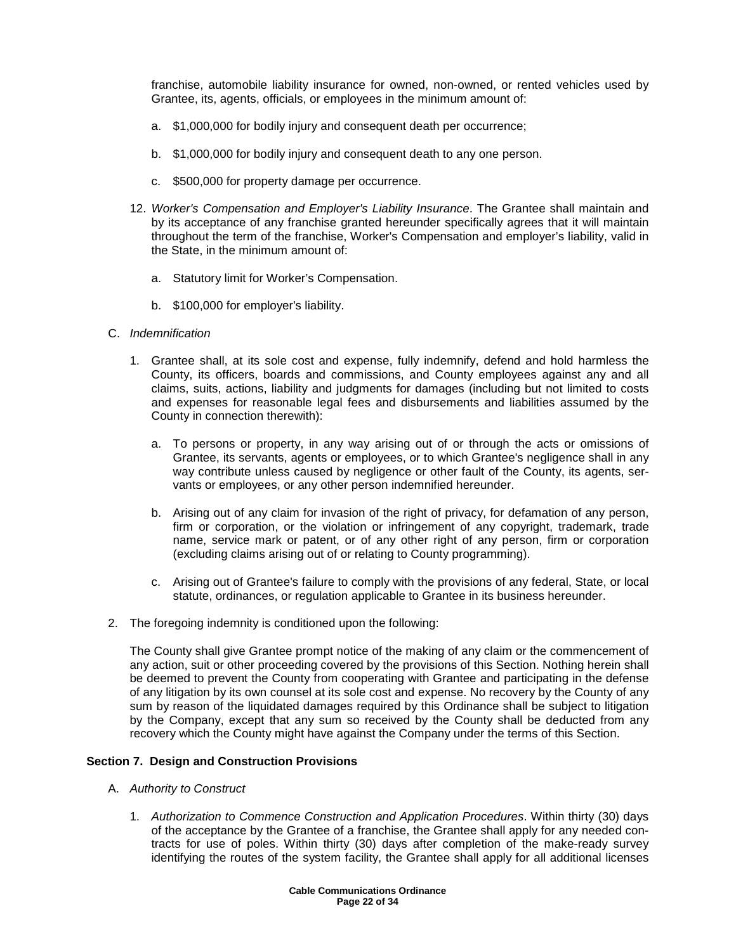franchise, automobile liability insurance for owned, non-owned, or rented vehicles used by Grantee, its, agents, officials, or employees in the minimum amount of:

- a. \$1,000,000 for bodily injury and consequent death per occurrence;
- b. \$1,000,000 for bodily injury and consequent death to any one person.
- c. \$500,000 for property damage per occurrence.
- 12. Worker's Compensation and Employer's Liability Insurance. The Grantee shall maintain and by its acceptance of any franchise granted hereunder specifically agrees that it will maintain throughout the term of the franchise, Worker's Compensation and employer's liability, valid in the State, in the minimum amount of:
	- a. Statutory limit for Worker's Compensation.
	- b. \$100,000 for employer's liability.
- C. Indemnification
	- 1. Grantee shall, at its sole cost and expense, fully indemnify, defend and hold harmless the County, its officers, boards and commissions, and County employees against any and all claims, suits, actions, liability and judgments for damages (including but not limited to costs and expenses for reasonable legal fees and disbursements and liabilities assumed by the County in connection therewith):
		- a. To persons or property, in any way arising out of or through the acts or omissions of Grantee, its servants, agents or employees, or to which Grantee's negligence shall in any way contribute unless caused by negligence or other fault of the County, its agents, servants or employees, or any other person indemnified hereunder.
		- b. Arising out of any claim for invasion of the right of privacy, for defamation of any person, firm or corporation, or the violation or infringement of any copyright, trademark, trade name, service mark or patent, or of any other right of any person, firm or corporation (excluding claims arising out of or relating to County programming).
		- c. Arising out of Grantee's failure to comply with the provisions of any federal, State, or local statute, ordinances, or regulation applicable to Grantee in its business hereunder.
- 2. The foregoing indemnity is conditioned upon the following:

The County shall give Grantee prompt notice of the making of any claim or the commencement of any action, suit or other proceeding covered by the provisions of this Section. Nothing herein shall be deemed to prevent the County from cooperating with Grantee and participating in the defense of any litigation by its own counsel at its sole cost and expense. No recovery by the County of any sum by reason of the liquidated damages required by this Ordinance shall be subject to litigation by the Company, except that any sum so received by the County shall be deducted from any recovery which the County might have against the Company under the terms of this Section.

#### **Section 7. Design and Construction Provisions**

- A. Authority to Construct
	- 1. Authorization to Commence Construction and Application Procedures. Within thirty (30) days of the acceptance by the Grantee of a franchise, the Grantee shall apply for any needed contracts for use of poles. Within thirty (30) days after completion of the make-ready survey identifying the routes of the system facility, the Grantee shall apply for all additional licenses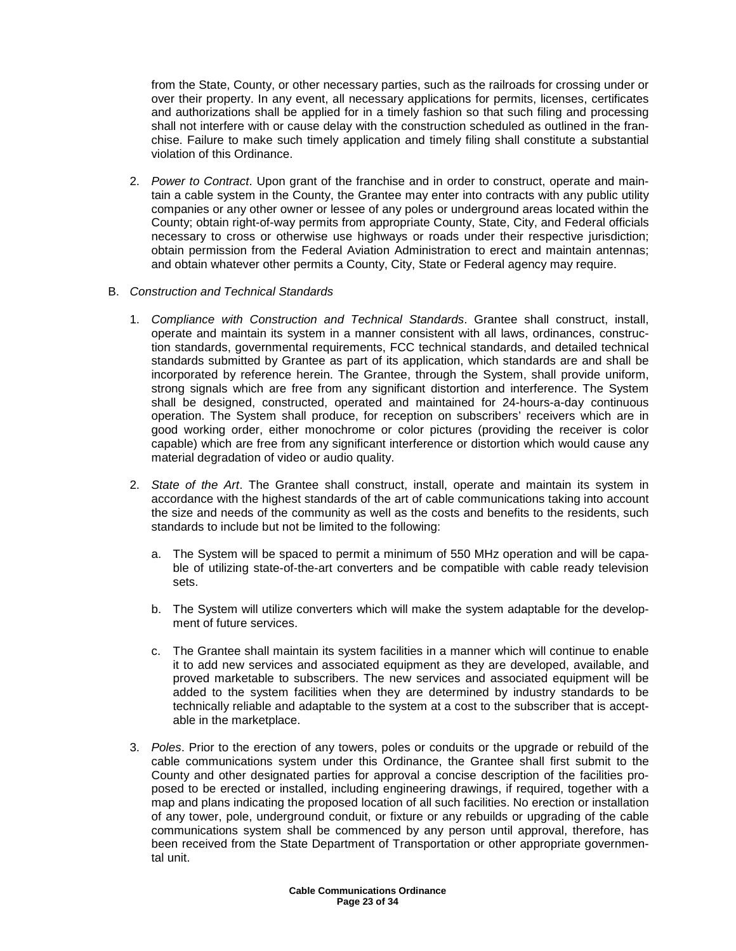from the State, County, or other necessary parties, such as the railroads for crossing under or over their property. In any event, all necessary applications for permits, licenses, certificates and authorizations shall be applied for in a timely fashion so that such filing and processing shall not interfere with or cause delay with the construction scheduled as outlined in the franchise. Failure to make such timely application and timely filing shall constitute a substantial violation of this Ordinance.

- 2. Power to Contract. Upon grant of the franchise and in order to construct, operate and maintain a cable system in the County, the Grantee may enter into contracts with any public utility companies or any other owner or lessee of any poles or underground areas located within the County; obtain right-of-way permits from appropriate County, State, City, and Federal officials necessary to cross or otherwise use highways or roads under their respective jurisdiction; obtain permission from the Federal Aviation Administration to erect and maintain antennas; and obtain whatever other permits a County, City, State or Federal agency may require.
- B. Construction and Technical Standards
	- 1. Compliance with Construction and Technical Standards. Grantee shall construct, install, operate and maintain its system in a manner consistent with all laws, ordinances, construction standards, governmental requirements, FCC technical standards, and detailed technical standards submitted by Grantee as part of its application, which standards are and shall be incorporated by reference herein. The Grantee, through the System, shall provide uniform, strong signals which are free from any significant distortion and interference. The System shall be designed, constructed, operated and maintained for 24-hours-a-day continuous operation. The System shall produce, for reception on subscribers' receivers which are in good working order, either monochrome or color pictures (providing the receiver is color capable) which are free from any significant interference or distortion which would cause any material degradation of video or audio quality.
	- 2. State of the Art. The Grantee shall construct, install, operate and maintain its system in accordance with the highest standards of the art of cable communications taking into account the size and needs of the community as well as the costs and benefits to the residents, such standards to include but not be limited to the following:
		- a. The System will be spaced to permit a minimum of 550 MHz operation and will be capable of utilizing state-of-the-art converters and be compatible with cable ready television sets.
		- b. The System will utilize converters which will make the system adaptable for the development of future services.
		- c. The Grantee shall maintain its system facilities in a manner which will continue to enable it to add new services and associated equipment as they are developed, available, and proved marketable to subscribers. The new services and associated equipment will be added to the system facilities when they are determined by industry standards to be technically reliable and adaptable to the system at a cost to the subscriber that is acceptable in the marketplace.
	- 3. Poles. Prior to the erection of any towers, poles or conduits or the upgrade or rebuild of the cable communications system under this Ordinance, the Grantee shall first submit to the County and other designated parties for approval a concise description of the facilities proposed to be erected or installed, including engineering drawings, if required, together with a map and plans indicating the proposed location of all such facilities. No erection or installation of any tower, pole, underground conduit, or fixture or any rebuilds or upgrading of the cable communications system shall be commenced by any person until approval, therefore, has been received from the State Department of Transportation or other appropriate governmental unit.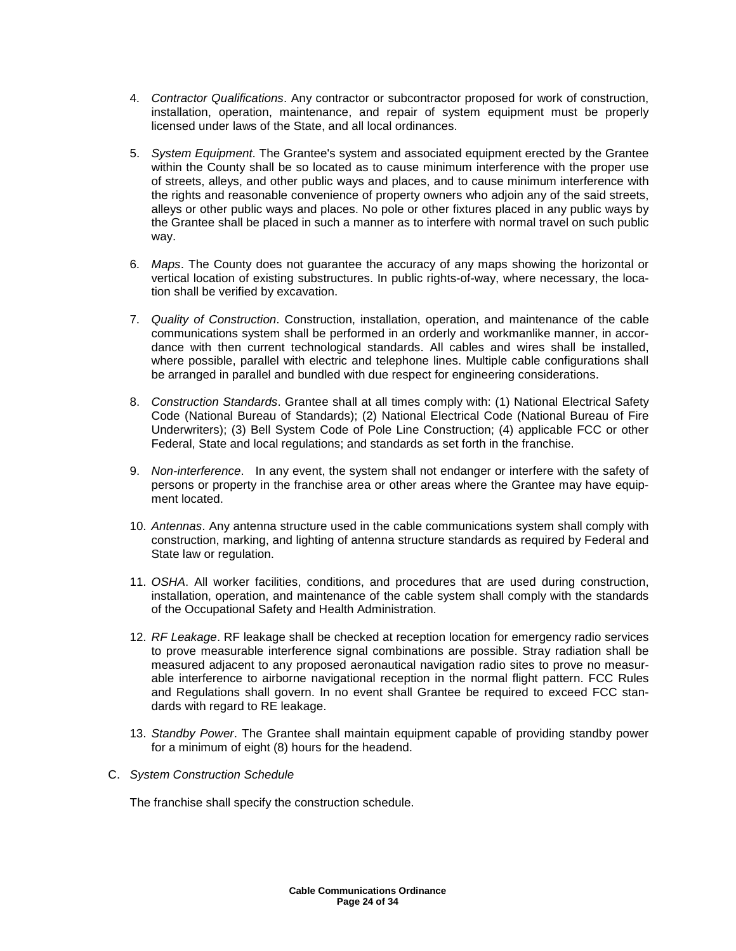- 4. Contractor Qualifications. Any contractor or subcontractor proposed for work of construction, installation, operation, maintenance, and repair of system equipment must be properly licensed under laws of the State, and all local ordinances.
- 5. System Equipment. The Grantee's system and associated equipment erected by the Grantee within the County shall be so located as to cause minimum interference with the proper use of streets, alleys, and other public ways and places, and to cause minimum interference with the rights and reasonable convenience of property owners who adjoin any of the said streets, alleys or other public ways and places. No pole or other fixtures placed in any public ways by the Grantee shall be placed in such a manner as to interfere with normal travel on such public way.
- 6. Maps. The County does not guarantee the accuracy of any maps showing the horizontal or vertical location of existing substructures. In public rights-of-way, where necessary, the location shall be verified by excavation.
- 7. Quality of Construction. Construction, installation, operation, and maintenance of the cable communications system shall be performed in an orderly and workmanlike manner, in accordance with then current technological standards. All cables and wires shall be installed, where possible, parallel with electric and telephone lines. Multiple cable configurations shall be arranged in parallel and bundled with due respect for engineering considerations.
- 8. Construction Standards. Grantee shall at all times comply with: (1) National Electrical Safety Code (National Bureau of Standards); (2) National Electrical Code (National Bureau of Fire Underwriters); (3) Bell System Code of Pole Line Construction; (4) applicable FCC or other Federal, State and local regulations; and standards as set forth in the franchise.
- 9. Non-interference. In any event, the system shall not endanger or interfere with the safety of persons or property in the franchise area or other areas where the Grantee may have equipment located.
- 10. Antennas. Any antenna structure used in the cable communications system shall comply with construction, marking, and lighting of antenna structure standards as required by Federal and State law or regulation.
- 11. OSHA. All worker facilities, conditions, and procedures that are used during construction, installation, operation, and maintenance of the cable system shall comply with the standards of the Occupational Safety and Health Administration.
- 12. RF Leakage. RF leakage shall be checked at reception location for emergency radio services to prove measurable interference signal combinations are possible. Stray radiation shall be measured adjacent to any proposed aeronautical navigation radio sites to prove no measurable interference to airborne navigational reception in the normal flight pattern. FCC Rules and Regulations shall govern. In no event shall Grantee be required to exceed FCC standards with regard to RE leakage.
- 13. Standby Power. The Grantee shall maintain equipment capable of providing standby power for a minimum of eight (8) hours for the headend.
- C. System Construction Schedule

The franchise shall specify the construction schedule.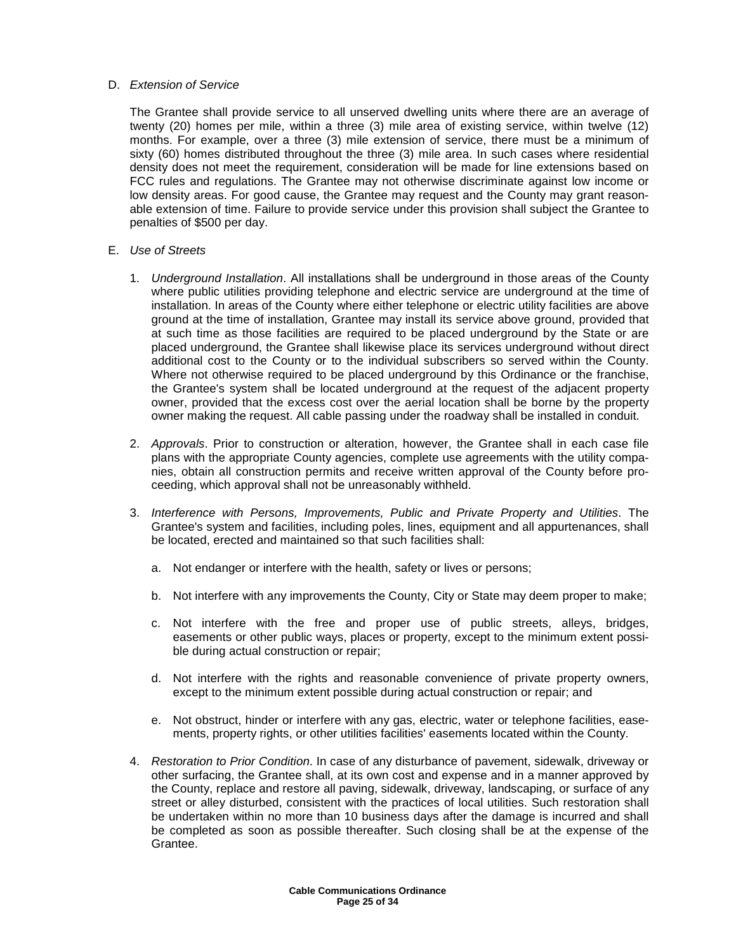#### D. Extension of Service

The Grantee shall provide service to all unserved dwelling units where there are an average of twenty (20) homes per mile, within a three (3) mile area of existing service, within twelve (12) months. For example, over a three (3) mile extension of service, there must be a minimum of sixty (60) homes distributed throughout the three (3) mile area. In such cases where residential density does not meet the requirement, consideration will be made for line extensions based on FCC rules and regulations. The Grantee may not otherwise discriminate against low income or low density areas. For good cause, the Grantee may request and the County may grant reasonable extension of time. Failure to provide service under this provision shall subject the Grantee to penalties of \$500 per day.

- E. Use of Streets
	- 1. Underground Installation. All installations shall be underground in those areas of the County where public utilities providing telephone and electric service are underground at the time of installation. In areas of the County where either telephone or electric utility facilities are above ground at the time of installation, Grantee may install its service above ground, provided that at such time as those facilities are required to be placed underground by the State or are placed underground, the Grantee shall likewise place its services underground without direct additional cost to the County or to the individual subscribers so served within the County. Where not otherwise required to be placed underground by this Ordinance or the franchise, the Grantee's system shall be located underground at the request of the adjacent property owner, provided that the excess cost over the aerial location shall be borne by the property owner making the request. All cable passing under the roadway shall be installed in conduit.
	- 2. Approvals. Prior to construction or alteration, however, the Grantee shall in each case file plans with the appropriate County agencies, complete use agreements with the utility companies, obtain all construction permits and receive written approval of the County before proceeding, which approval shall not be unreasonably withheld.
	- 3. Interference with Persons, Improvements, Public and Private Property and Utilities. The Grantee's system and facilities, including poles, lines, equipment and all appurtenances, shall be located, erected and maintained so that such facilities shall:
		- a. Not endanger or interfere with the health, safety or lives or persons;
		- b. Not interfere with any improvements the County, City or State may deem proper to make;
		- c. Not interfere with the free and proper use of public streets, alleys, bridges, easements or other public ways, places or property, except to the minimum extent possible during actual construction or repair;
		- d. Not interfere with the rights and reasonable convenience of private property owners, except to the minimum extent possible during actual construction or repair; and
		- e. Not obstruct, hinder or interfere with any gas, electric, water or telephone facilities, easements, property rights, or other utilities facilities' easements located within the County.
	- 4. Restoration to Prior Condition. In case of any disturbance of pavement, sidewalk, driveway or other surfacing, the Grantee shall, at its own cost and expense and in a manner approved by the County, replace and restore all paving, sidewalk, driveway, landscaping, or surface of any street or alley disturbed, consistent with the practices of local utilities. Such restoration shall be undertaken within no more than 10 business days after the damage is incurred and shall be completed as soon as possible thereafter. Such closing shall be at the expense of the Grantee.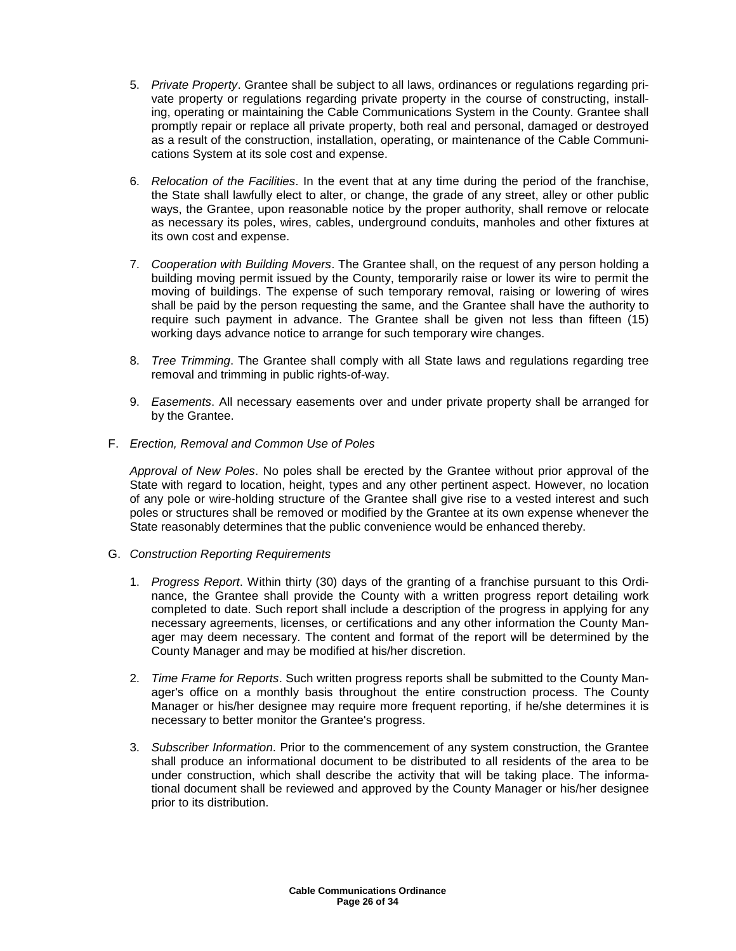- 5. Private Property. Grantee shall be subject to all laws, ordinances or regulations regarding private property or regulations regarding private property in the course of constructing, installing, operating or maintaining the Cable Communications System in the County. Grantee shall promptly repair or replace all private property, both real and personal, damaged or destroyed as a result of the construction, installation, operating, or maintenance of the Cable Communications System at its sole cost and expense.
- 6. Relocation of the Facilities. In the event that at any time during the period of the franchise, the State shall lawfully elect to alter, or change, the grade of any street, alley or other public ways, the Grantee, upon reasonable notice by the proper authority, shall remove or relocate as necessary its poles, wires, cables, underground conduits, manholes and other fixtures at its own cost and expense.
- 7. Cooperation with Building Movers. The Grantee shall, on the request of any person holding a building moving permit issued by the County, temporarily raise or lower its wire to permit the moving of buildings. The expense of such temporary removal, raising or lowering of wires shall be paid by the person requesting the same, and the Grantee shall have the authority to require such payment in advance. The Grantee shall be given not less than fifteen (15) working days advance notice to arrange for such temporary wire changes.
- 8. Tree Trimming. The Grantee shall comply with all State laws and regulations regarding tree removal and trimming in public rights-of-way.
- 9. Easements. All necessary easements over and under private property shall be arranged for by the Grantee.
- F. Erection, Removal and Common Use of Poles

Approval of New Poles. No poles shall be erected by the Grantee without prior approval of the State with regard to location, height, types and any other pertinent aspect. However, no location of any pole or wire-holding structure of the Grantee shall give rise to a vested interest and such poles or structures shall be removed or modified by the Grantee at its own expense whenever the State reasonably determines that the public convenience would be enhanced thereby.

- G. Construction Reporting Requirements
	- 1. Progress Report. Within thirty (30) days of the granting of a franchise pursuant to this Ordinance, the Grantee shall provide the County with a written progress report detailing work completed to date. Such report shall include a description of the progress in applying for any necessary agreements, licenses, or certifications and any other information the County Manager may deem necessary. The content and format of the report will be determined by the County Manager and may be modified at his/her discretion.
	- 2. Time Frame for Reports. Such written progress reports shall be submitted to the County Manager's office on a monthly basis throughout the entire construction process. The County Manager or his/her designee may require more frequent reporting, if he/she determines it is necessary to better monitor the Grantee's progress.
	- 3. Subscriber Information. Prior to the commencement of any system construction, the Grantee shall produce an informational document to be distributed to all residents of the area to be under construction, which shall describe the activity that will be taking place. The informational document shall be reviewed and approved by the County Manager or his/her designee prior to its distribution.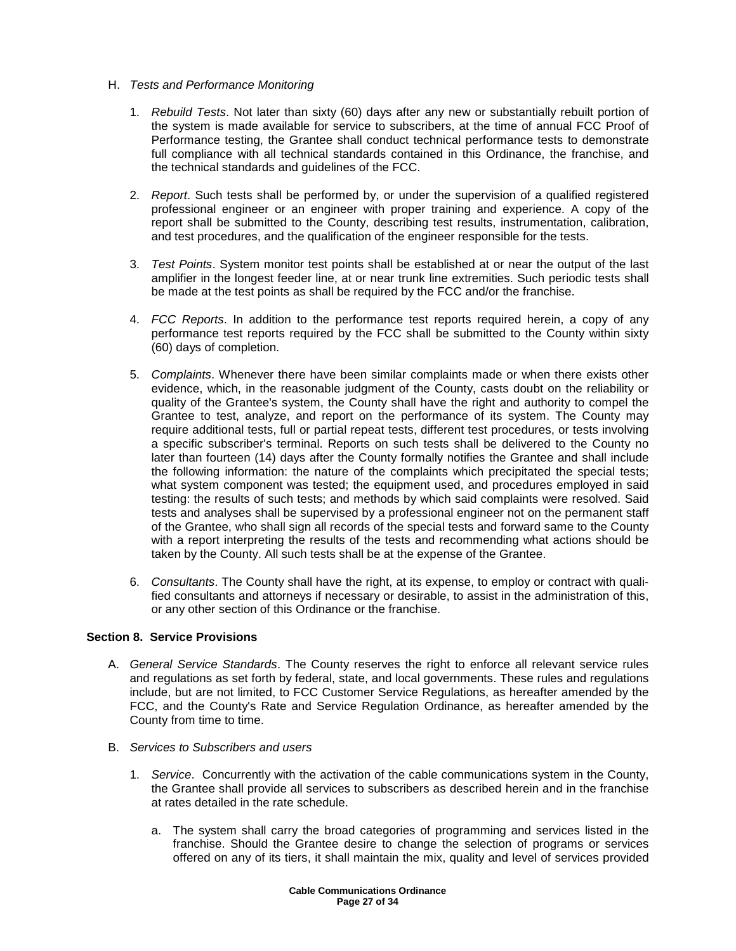- H. Tests and Performance Monitoring
	- 1. Rebuild Tests. Not later than sixty (60) days after any new or substantially rebuilt portion of the system is made available for service to subscribers, at the time of annual FCC Proof of Performance testing, the Grantee shall conduct technical performance tests to demonstrate full compliance with all technical standards contained in this Ordinance, the franchise, and the technical standards and guidelines of the FCC.
	- 2. Report. Such tests shall be performed by, or under the supervision of a qualified registered professional engineer or an engineer with proper training and experience. A copy of the report shall be submitted to the County, describing test results, instrumentation, calibration, and test procedures, and the qualification of the engineer responsible for the tests.
	- 3. Test Points. System monitor test points shall be established at or near the output of the last amplifier in the longest feeder line, at or near trunk line extremities. Such periodic tests shall be made at the test points as shall be required by the FCC and/or the franchise.
	- 4. FCC Reports. In addition to the performance test reports required herein, a copy of any performance test reports required by the FCC shall be submitted to the County within sixty (60) days of completion.
	- 5. Complaints. Whenever there have been similar complaints made or when there exists other evidence, which, in the reasonable judgment of the County, casts doubt on the reliability or quality of the Grantee's system, the County shall have the right and authority to compel the Grantee to test, analyze, and report on the performance of its system. The County may require additional tests, full or partial repeat tests, different test procedures, or tests involving a specific subscriber's terminal. Reports on such tests shall be delivered to the County no later than fourteen (14) days after the County formally notifies the Grantee and shall include the following information: the nature of the complaints which precipitated the special tests; what system component was tested; the equipment used, and procedures employed in said testing: the results of such tests; and methods by which said complaints were resolved. Said tests and analyses shall be supervised by a professional engineer not on the permanent staff of the Grantee, who shall sign all records of the special tests and forward same to the County with a report interpreting the results of the tests and recommending what actions should be taken by the County. All such tests shall be at the expense of the Grantee.
	- 6. Consultants. The County shall have the right, at its expense, to employ or contract with qualified consultants and attorneys if necessary or desirable, to assist in the administration of this, or any other section of this Ordinance or the franchise.

### **Section 8. Service Provisions**

- A. General Service Standards. The County reserves the right to enforce all relevant service rules and regulations as set forth by federal, state, and local governments. These rules and regulations include, but are not limited, to FCC Customer Service Regulations, as hereafter amended by the FCC, and the County's Rate and Service Regulation Ordinance, as hereafter amended by the County from time to time.
- B. Services to Subscribers and users
	- 1. Service. Concurrently with the activation of the cable communications system in the County, the Grantee shall provide all services to subscribers as described herein and in the franchise at rates detailed in the rate schedule.
		- a. The system shall carry the broad categories of programming and services listed in the franchise. Should the Grantee desire to change the selection of programs or services offered on any of its tiers, it shall maintain the mix, quality and level of services provided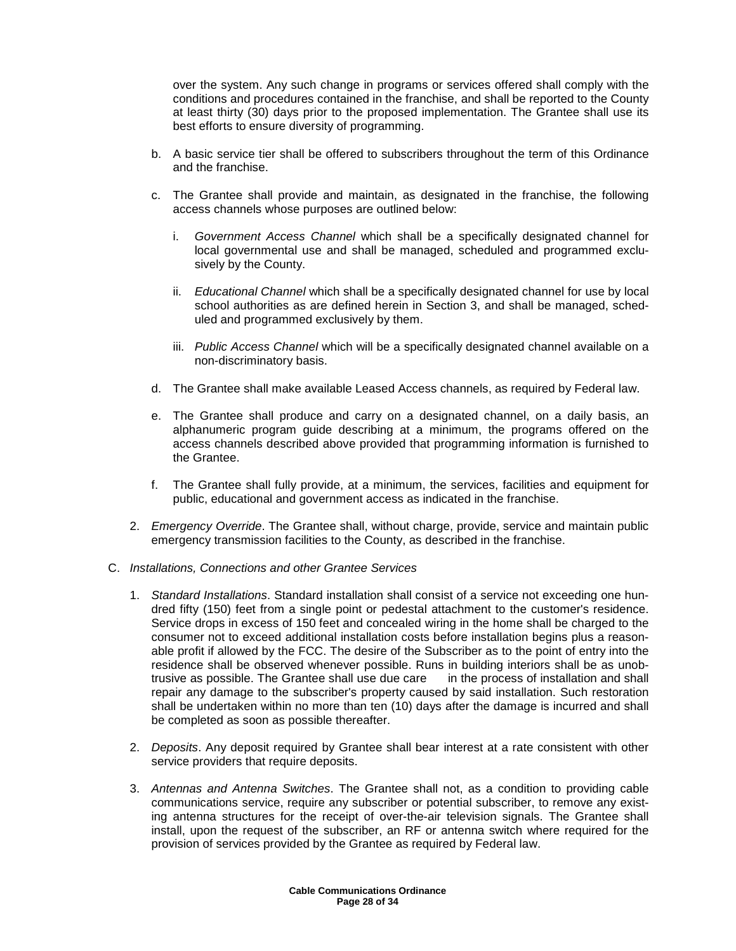over the system. Any such change in programs or services offered shall comply with the conditions and procedures contained in the franchise, and shall be reported to the County at least thirty (30) days prior to the proposed implementation. The Grantee shall use its best efforts to ensure diversity of programming.

- b. A basic service tier shall be offered to subscribers throughout the term of this Ordinance and the franchise.
- c. The Grantee shall provide and maintain, as designated in the franchise, the following access channels whose purposes are outlined below:
	- i. Government Access Channel which shall be a specifically designated channel for local governmental use and shall be managed, scheduled and programmed exclusively by the County.
	- ii. Educational Channel which shall be a specifically designated channel for use by local school authorities as are defined herein in Section 3, and shall be managed, scheduled and programmed exclusively by them.
	- iii. Public Access Channel which will be a specifically designated channel available on a non-discriminatory basis.
- d. The Grantee shall make available Leased Access channels, as required by Federal law.
- e. The Grantee shall produce and carry on a designated channel, on a daily basis, an alphanumeric program guide describing at a minimum, the programs offered on the access channels described above provided that programming information is furnished to the Grantee.
- f. The Grantee shall fully provide, at a minimum, the services, facilities and equipment for public, educational and government access as indicated in the franchise.
- 2. Emergency Override. The Grantee shall, without charge, provide, service and maintain public emergency transmission facilities to the County, as described in the franchise.
- C. Installations, Connections and other Grantee Services
	- 1. Standard Installations. Standard installation shall consist of a service not exceeding one hundred fifty (150) feet from a single point or pedestal attachment to the customer's residence. Service drops in excess of 150 feet and concealed wiring in the home shall be charged to the consumer not to exceed additional installation costs before installation begins plus a reasonable profit if allowed by the FCC. The desire of the Subscriber as to the point of entry into the residence shall be observed whenever possible. Runs in building interiors shall be as unobtrusive as possible. The Grantee shall use due care in the process of installation and shall repair any damage to the subscriber's property caused by said installation. Such restoration shall be undertaken within no more than ten (10) days after the damage is incurred and shall be completed as soon as possible thereafter.
	- 2. Deposits. Any deposit required by Grantee shall bear interest at a rate consistent with other service providers that require deposits.
	- 3. Antennas and Antenna Switches. The Grantee shall not, as a condition to providing cable communications service, require any subscriber or potential subscriber, to remove any existing antenna structures for the receipt of over-the-air television signals. The Grantee shall install, upon the request of the subscriber, an RF or antenna switch where required for the provision of services provided by the Grantee as required by Federal law.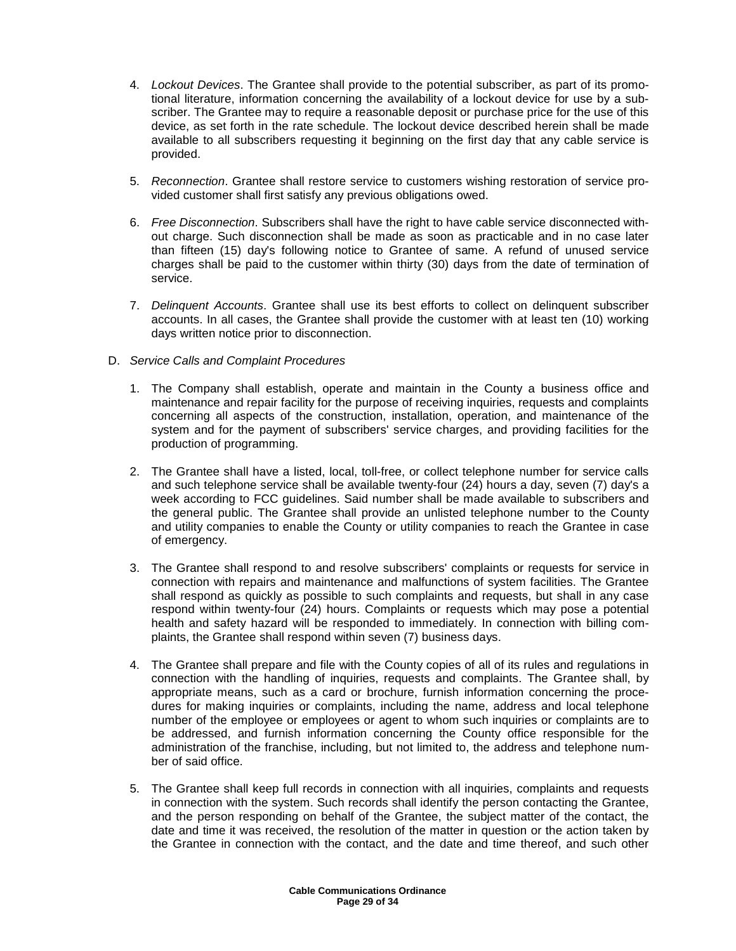- 4. Lockout Devices. The Grantee shall provide to the potential subscriber, as part of its promotional literature, information concerning the availability of a lockout device for use by a subscriber. The Grantee may to require a reasonable deposit or purchase price for the use of this device, as set forth in the rate schedule. The lockout device described herein shall be made available to all subscribers requesting it beginning on the first day that any cable service is provided.
- 5. Reconnection. Grantee shall restore service to customers wishing restoration of service provided customer shall first satisfy any previous obligations owed.
- 6. Free Disconnection. Subscribers shall have the right to have cable service disconnected without charge. Such disconnection shall be made as soon as practicable and in no case later than fifteen (15) day's following notice to Grantee of same. A refund of unused service charges shall be paid to the customer within thirty (30) days from the date of termination of service.
- 7. Delinquent Accounts. Grantee shall use its best efforts to collect on delinquent subscriber accounts. In all cases, the Grantee shall provide the customer with at least ten (10) working days written notice prior to disconnection.
- D. Service Calls and Complaint Procedures
	- 1. The Company shall establish, operate and maintain in the County a business office and maintenance and repair facility for the purpose of receiving inquiries, requests and complaints concerning all aspects of the construction, installation, operation, and maintenance of the system and for the payment of subscribers' service charges, and providing facilities for the production of programming.
	- 2. The Grantee shall have a listed, local, toll-free, or collect telephone number for service calls and such telephone service shall be available twenty-four (24) hours a day, seven (7) day's a week according to FCC guidelines. Said number shall be made available to subscribers and the general public. The Grantee shall provide an unlisted telephone number to the County and utility companies to enable the County or utility companies to reach the Grantee in case of emergency.
	- 3. The Grantee shall respond to and resolve subscribers' complaints or requests for service in connection with repairs and maintenance and malfunctions of system facilities. The Grantee shall respond as quickly as possible to such complaints and requests, but shall in any case respond within twenty-four (24) hours. Complaints or requests which may pose a potential health and safety hazard will be responded to immediately. In connection with billing complaints, the Grantee shall respond within seven (7) business days.
	- 4. The Grantee shall prepare and file with the County copies of all of its rules and regulations in connection with the handling of inquiries, requests and complaints. The Grantee shall, by appropriate means, such as a card or brochure, furnish information concerning the procedures for making inquiries or complaints, including the name, address and local telephone number of the employee or employees or agent to whom such inquiries or complaints are to be addressed, and furnish information concerning the County office responsible for the administration of the franchise, including, but not limited to, the address and telephone number of said office.
	- 5. The Grantee shall keep full records in connection with all inquiries, complaints and requests in connection with the system. Such records shall identify the person contacting the Grantee, and the person responding on behalf of the Grantee, the subject matter of the contact, the date and time it was received, the resolution of the matter in question or the action taken by the Grantee in connection with the contact, and the date and time thereof, and such other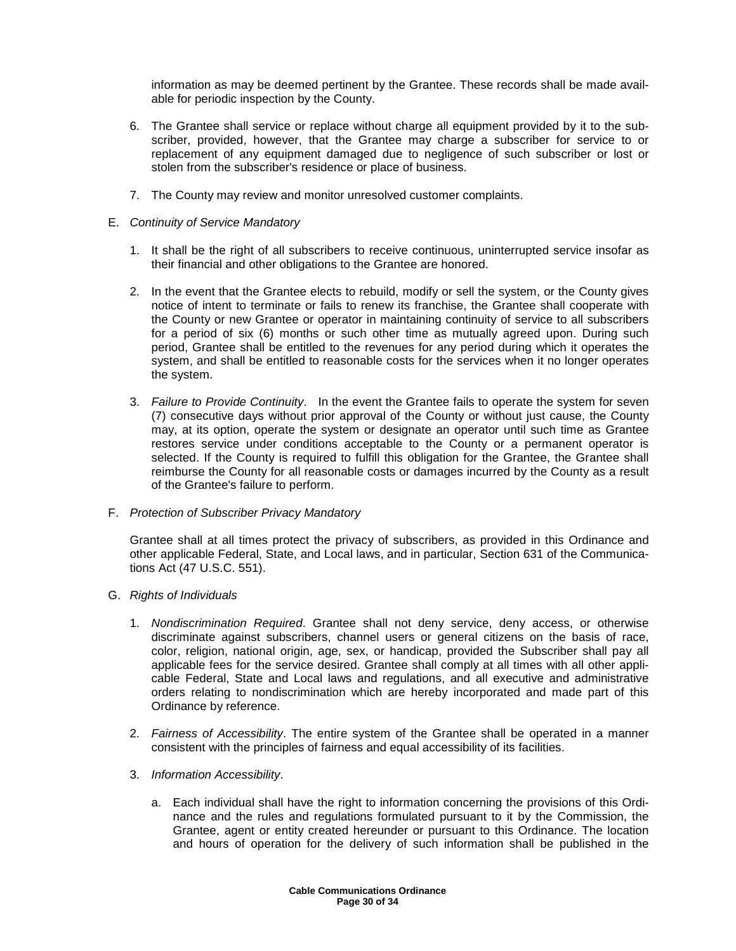information as may be deemed pertinent by the Grantee. These records shall be made available for periodic inspection by the County.

- 6. The Grantee shall service or replace without charge all equipment provided by it to the subscriber, provided, however, that the Grantee may charge a subscriber for service to or replacement of any equipment damaged due to negligence of such subscriber or lost or stolen from the subscriber's residence or place of business.
- 7. The County may review and monitor unresolved customer complaints.
- E. Continuity of Service Mandatory
	- 1. It shall be the right of all subscribers to receive continuous, uninterrupted service insofar as their financial and other obligations to the Grantee are honored.
	- 2. In the event that the Grantee elects to rebuild, modify or sell the system, or the County gives notice of intent to terminate or fails to renew its franchise, the Grantee shall cooperate with the County or new Grantee or operator in maintaining continuity of service to all subscribers for a period of six (6) months or such other time as mutually agreed upon. During such period, Grantee shall be entitled to the revenues for any period during which it operates the system, and shall be entitled to reasonable costs for the services when it no longer operates the system.
	- 3. Failure to Provide Continuity. In the event the Grantee fails to operate the system for seven (7) consecutive days without prior approval of the County or without just cause, the County may, at its option, operate the system or designate an operator until such time as Grantee restores service under conditions acceptable to the County or a permanent operator is selected. If the County is required to fulfill this obligation for the Grantee, the Grantee shall reimburse the County for all reasonable costs or damages incurred by the County as a result of the Grantee's failure to perform.
- F. Protection of Subscriber Privacy Mandatory

Grantee shall at all times protect the privacy of subscribers, as provided in this Ordinance and other applicable Federal, State, and Local laws, and in particular, Section 631 of the Communications Act (47 U.S.C. 551).

- G. Rights of Individuals
	- 1. Nondiscrimination Required. Grantee shall not deny service, deny access, or otherwise discriminate against subscribers, channel users or general citizens on the basis of race, color, religion, national origin, age, sex, or handicap, provided the Subscriber shall pay all applicable fees for the service desired. Grantee shall comply at all times with all other applicable Federal, State and Local laws and regulations, and all executive and administrative orders relating to nondiscrimination which are hereby incorporated and made part of this Ordinance by reference.
	- 2. Fairness of Accessibility. The entire system of the Grantee shall be operated in a manner consistent with the principles of fairness and equal accessibility of its facilities.
	- 3. Information Accessibility.
		- a. Each individual shall have the right to information concerning the provisions of this Ordinance and the rules and regulations formulated pursuant to it by the Commission, the Grantee, agent or entity created hereunder or pursuant to this Ordinance. The location and hours of operation for the delivery of such information shall be published in the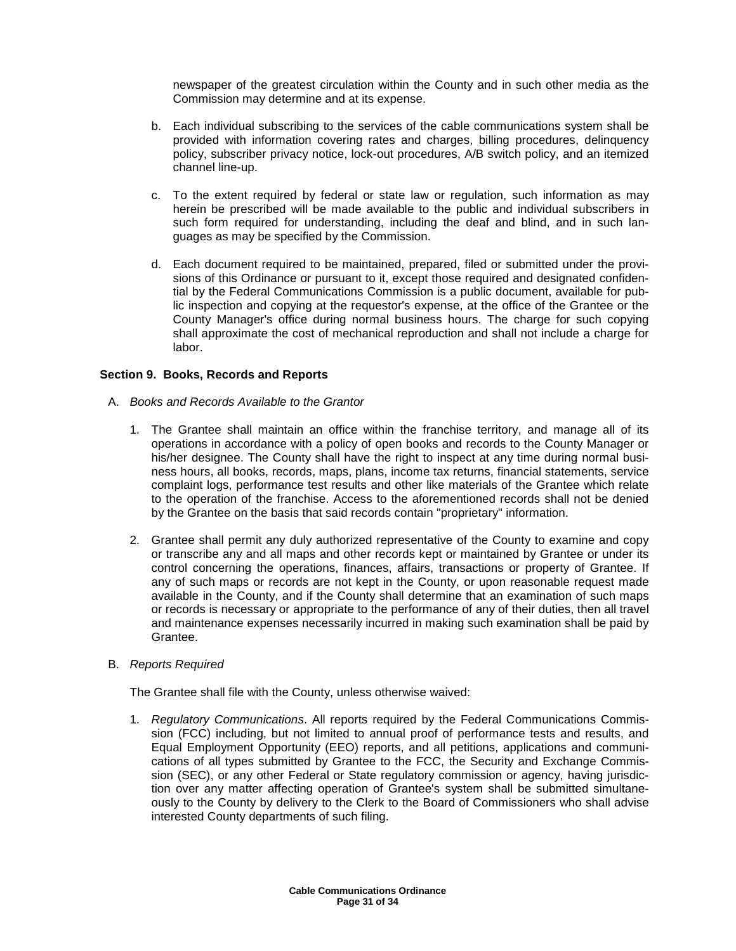newspaper of the greatest circulation within the County and in such other media as the Commission may determine and at its expense.

- b. Each individual subscribing to the services of the cable communications system shall be provided with information covering rates and charges, billing procedures, delinquency policy, subscriber privacy notice, lock-out procedures, A/B switch policy, and an itemized channel line-up.
- c. To the extent required by federal or state law or regulation, such information as may herein be prescribed will be made available to the public and individual subscribers in such form required for understanding, including the deaf and blind, and in such languages as may be specified by the Commission.
- d. Each document required to be maintained, prepared, filed or submitted under the provisions of this Ordinance or pursuant to it, except those required and designated confidential by the Federal Communications Commission is a public document, available for public inspection and copying at the requestor's expense, at the office of the Grantee or the County Manager's office during normal business hours. The charge for such copying shall approximate the cost of mechanical reproduction and shall not include a charge for labor.

### **Section 9. Books, Records and Reports**

- A. Books and Records Available to the Grantor
	- 1. The Grantee shall maintain an office within the franchise territory, and manage all of its operations in accordance with a policy of open books and records to the County Manager or his/her designee. The County shall have the right to inspect at any time during normal business hours, all books, records, maps, plans, income tax returns, financial statements, service complaint logs, performance test results and other like materials of the Grantee which relate to the operation of the franchise. Access to the aforementioned records shall not be denied by the Grantee on the basis that said records contain "proprietary" information.
	- 2. Grantee shall permit any duly authorized representative of the County to examine and copy or transcribe any and all maps and other records kept or maintained by Grantee or under its control concerning the operations, finances, affairs, transactions or property of Grantee. If any of such maps or records are not kept in the County, or upon reasonable request made available in the County, and if the County shall determine that an examination of such maps or records is necessary or appropriate to the performance of any of their duties, then all travel and maintenance expenses necessarily incurred in making such examination shall be paid by Grantee.
- B. Reports Required

The Grantee shall file with the County, unless otherwise waived:

1. Regulatory Communications. All reports required by the Federal Communications Commission (FCC) including, but not limited to annual proof of performance tests and results, and Equal Employment Opportunity (EEO) reports, and all petitions, applications and communications of all types submitted by Grantee to the FCC, the Security and Exchange Commission (SEC), or any other Federal or State regulatory commission or agency, having jurisdiction over any matter affecting operation of Grantee's system shall be submitted simultaneously to the County by delivery to the Clerk to the Board of Commissioners who shall advise interested County departments of such filing.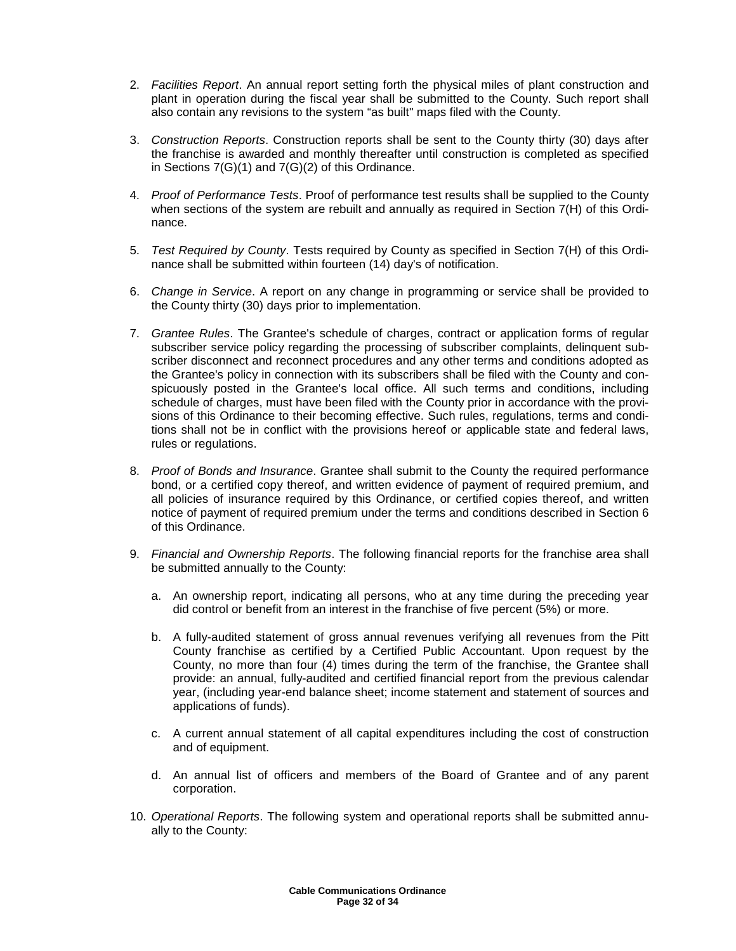- 2. Facilities Report. An annual report setting forth the physical miles of plant construction and plant in operation during the fiscal year shall be submitted to the County. Such report shall also contain any revisions to the system "as built" maps filed with the County.
- 3. Construction Reports. Construction reports shall be sent to the County thirty (30) days after the franchise is awarded and monthly thereafter until construction is completed as specified in Sections 7(G)(1) and 7(G)(2) of this Ordinance.
- 4. Proof of Performance Tests. Proof of performance test results shall be supplied to the County when sections of the system are rebuilt and annually as required in Section 7(H) of this Ordinance.
- 5. Test Required by County. Tests required by County as specified in Section 7(H) of this Ordinance shall be submitted within fourteen (14) day's of notification.
- 6. Change in Service. A report on any change in programming or service shall be provided to the County thirty (30) days prior to implementation.
- 7. Grantee Rules. The Grantee's schedule of charges, contract or application forms of regular subscriber service policy regarding the processing of subscriber complaints, delinquent subscriber disconnect and reconnect procedures and any other terms and conditions adopted as the Grantee's policy in connection with its subscribers shall be filed with the County and conspicuously posted in the Grantee's local office. All such terms and conditions, including schedule of charges, must have been filed with the County prior in accordance with the provisions of this Ordinance to their becoming effective. Such rules, regulations, terms and conditions shall not be in conflict with the provisions hereof or applicable state and federal laws, rules or regulations.
- 8. Proof of Bonds and Insurance. Grantee shall submit to the County the required performance bond, or a certified copy thereof, and written evidence of payment of required premium, and all policies of insurance required by this Ordinance, or certified copies thereof, and written notice of payment of required premium under the terms and conditions described in Section 6 of this Ordinance.
- 9. Financial and Ownership Reports. The following financial reports for the franchise area shall be submitted annually to the County:
	- a. An ownership report, indicating all persons, who at any time during the preceding year did control or benefit from an interest in the franchise of five percent (5%) or more.
	- b. A fully-audited statement of gross annual revenues verifying all revenues from the Pitt County franchise as certified by a Certified Public Accountant. Upon request by the County, no more than four (4) times during the term of the franchise, the Grantee shall provide: an annual, fully-audited and certified financial report from the previous calendar year, (including year-end balance sheet; income statement and statement of sources and applications of funds).
	- c. A current annual statement of all capital expenditures including the cost of construction and of equipment.
	- d. An annual list of officers and members of the Board of Grantee and of any parent corporation.
- 10. Operational Reports. The following system and operational reports shall be submitted annually to the County: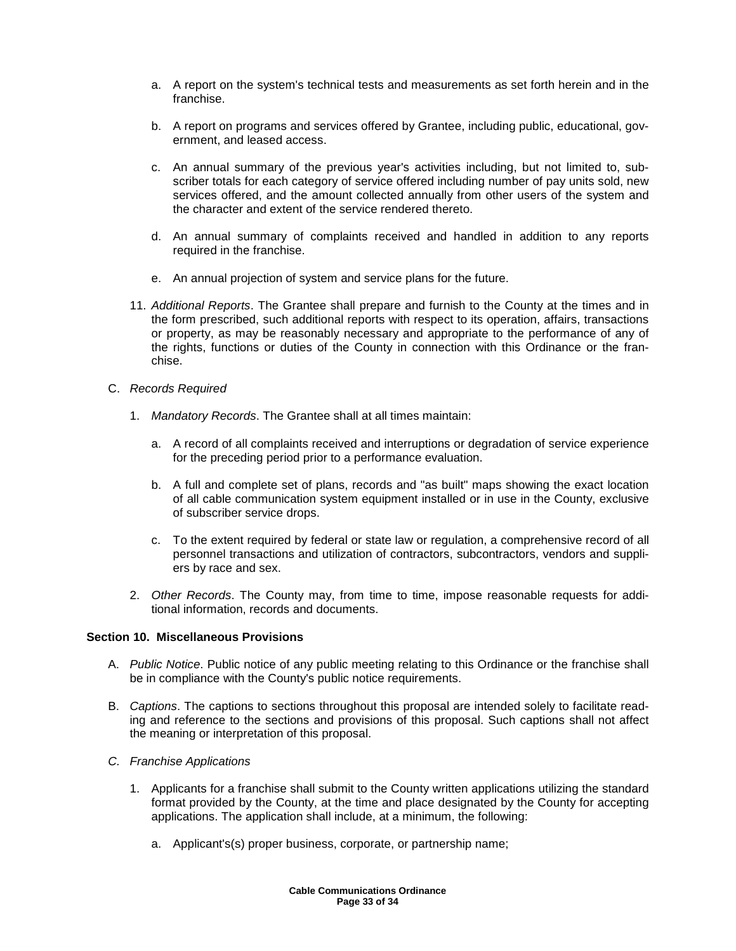- a. A report on the system's technical tests and measurements as set forth herein and in the franchise.
- b. A report on programs and services offered by Grantee, including public, educational, government, and leased access.
- c. An annual summary of the previous year's activities including, but not limited to, subscriber totals for each category of service offered including number of pay units sold, new services offered, and the amount collected annually from other users of the system and the character and extent of the service rendered thereto.
- d. An annual summary of complaints received and handled in addition to any reports required in the franchise.
- e. An annual projection of system and service plans for the future.
- 11. Additional Reports. The Grantee shall prepare and furnish to the County at the times and in the form prescribed, such additional reports with respect to its operation, affairs, transactions or property, as may be reasonably necessary and appropriate to the performance of any of the rights, functions or duties of the County in connection with this Ordinance or the franchise.
- C. Records Required
	- 1. Mandatory Records. The Grantee shall at all times maintain:
		- a. A record of all complaints received and interruptions or degradation of service experience for the preceding period prior to a performance evaluation.
		- b. A full and complete set of plans, records and "as built" maps showing the exact location of all cable communication system equipment installed or in use in the County, exclusive of subscriber service drops.
		- c. To the extent required by federal or state law or regulation, a comprehensive record of all personnel transactions and utilization of contractors, subcontractors, vendors and suppliers by race and sex.
	- 2. Other Records. The County may, from time to time, impose reasonable requests for additional information, records and documents.

### **Section 10. Miscellaneous Provisions**

- A. Public Notice. Public notice of any public meeting relating to this Ordinance or the franchise shall be in compliance with the County's public notice requirements.
- B. Captions. The captions to sections throughout this proposal are intended solely to facilitate reading and reference to the sections and provisions of this proposal. Such captions shall not affect the meaning or interpretation of this proposal.
- C. Franchise Applications
	- 1. Applicants for a franchise shall submit to the County written applications utilizing the standard format provided by the County, at the time and place designated by the County for accepting applications. The application shall include, at a minimum, the following:
		- a. Applicant's(s) proper business, corporate, or partnership name;